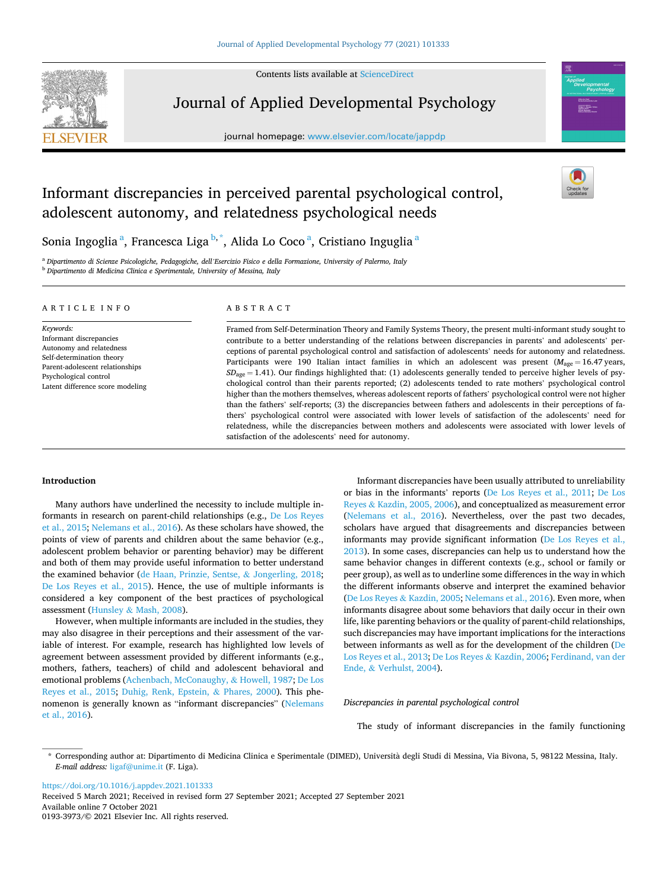Contents lists available at [ScienceDirect](www.sciencedirect.com/science/journal/01933973)



Journal of Applied Developmental Psychology

journal homepage: [www.elsevier.com/locate/jappdp](https://www.elsevier.com/locate/jappdp)



# Informant discrepancies in perceived parental psychological control, adolescent autonomy, and relatedness psychological needs



Sonia Ingoglia $^{\mathsf{a}},$  Francesca Liga $^{\mathsf{b}, \mathsf{*}},$  Alida Lo Coco $^{\mathsf{a}},$  Cristiano Inguglia $^{\mathsf{a}}$ 

<sup>a</sup> *Dipartimento di Scienze Psicologiche, Pedagogiche, dell'Esercizio Fisico e della Formazione, University of Palermo, Italy* <sup>b</sup> *Dipartimento di Medicina Clinica e Sperimentale, University of Messina, Italy* 

#### ARTICLE INFO

*Keywords:*  Informant discrepancies Autonomy and relatedness Self-determination theory Parent-adolescent relationships Psychological control Latent difference score modeling

# ABSTRACT

Framed from Self-Determination Theory and Family Systems Theory, the present multi-informant study sought to contribute to a better understanding of the relations between discrepancies in parents' and adolescents' perceptions of parental psychological control and satisfaction of adolescents' needs for autonomy and relatedness. Participants were 190 Italian intact families in which an adolescent was present ( $M_{\text{age}} = 16.47 \text{ years}$ , *SD*age = 1.41). Our findings highlighted that: (1) adolescents generally tended to perceive higher levels of psychological control than their parents reported; (2) adolescents tended to rate mothers' psychological control higher than the mothers themselves, whereas adolescent reports of fathers' psychological control were not higher than the fathers' self-reports; (3) the discrepancies between fathers and adolescents in their perceptions of fathers' psychological control were associated with lower levels of satisfaction of the adolescents' need for relatedness, while the discrepancies between mothers and adolescents were associated with lower levels of satisfaction of the adolescents' need for autonomy.

## **Introduction**

Many authors have underlined the necessity to include multiple informants in research on parent-child relationships (e.g., [De Los Reyes](#page-10-0)  [et al., 2015](#page-10-0); [Nelemans et al., 2016](#page-11-0)). As these scholars have showed, the points of view of parents and children about the same behavior (e.g., adolescent problem behavior or parenting behavior) may be different and both of them may provide useful information to better understand the examined behavior [\(de Haan, Prinzie, Sentse,](#page-11-0) & Jongerling, 2018; [De Los Reyes et al., 2015\)](#page-10-0). Hence, the use of multiple informants is considered a key component of the best practices of psychological assessment (Hunsley & [Mash, 2008\)](#page-11-0).

However, when multiple informants are included in the studies, they may also disagree in their perceptions and their assessment of the variable of interest. For example, research has highlighted low levels of agreement between assessment provided by different informants (e.g., mothers, fathers, teachers) of child and adolescent behavioral and emotional problems ([Achenbach, McConaughy,](#page-10-0) & Howell, 1987; [De Los](#page-10-0)  [Reyes et al., 2015](#page-10-0); [Duhig, Renk, Epstein,](#page-10-0) & Phares, 2000). This phenomenon is generally known as "informant discrepancies" [\(Nelemans](#page-11-0)  [et al., 2016\)](#page-11-0).

Informant discrepancies have been usually attributed to unreliability or bias in the informants' reports [\(De Los Reyes et al., 2011;](#page-10-0) [De Los](#page-10-0)  Reyes & [Kazdin, 2005, 2006](#page-10-0)), and conceptualized as measurement error ([Nelemans et al., 2016](#page-11-0)). Nevertheless, over the past two decades, scholars have argued that disagreements and discrepancies between informants may provide significant information [\(De Los Reyes et al.,](#page-10-0)  [2013\)](#page-10-0). In some cases, discrepancies can help us to understand how the same behavior changes in different contexts (e.g., school or family or peer group), as well as to underline some differences in the way in which the different informants observe and interpret the examined behavior ([De Los Reyes](#page-10-0) & Kazdin, 2005; [Nelemans et al., 2016](#page-11-0)). Even more, when informants disagree about some behaviors that daily occur in their own life, like parenting behaviors or the quality of parent-child relationships, such discrepancies may have important implications for the interactions between informants as well as for the development of the children [\(De](#page-10-0)  [Los Reyes et al., 2013; De Los Reyes](#page-10-0) & Kazdin, 2006; [Ferdinand, van der](#page-11-0)  Ende, & [Verhulst, 2004\)](#page-11-0).

*Discrepancies in parental psychological control* 

The study of informant discrepancies in the family functioning

<https://doi.org/10.1016/j.appdev.2021.101333>

Available online 7 October 2021 0193-3973/© 2021 Elsevier Inc. All rights reserved. Received 5 March 2021; Received in revised form 27 September 2021; Accepted 27 September 2021

<sup>\*</sup> Corresponding author at: Dipartimento di Medicina Clinica e Sperimentale (DIMED), Università degli Studi di Messina, Via Bivona, 5, 98122 Messina, Italy. *E-mail address:* [ligaf@unime.it](mailto:ligaf@unime.it) (F. Liga).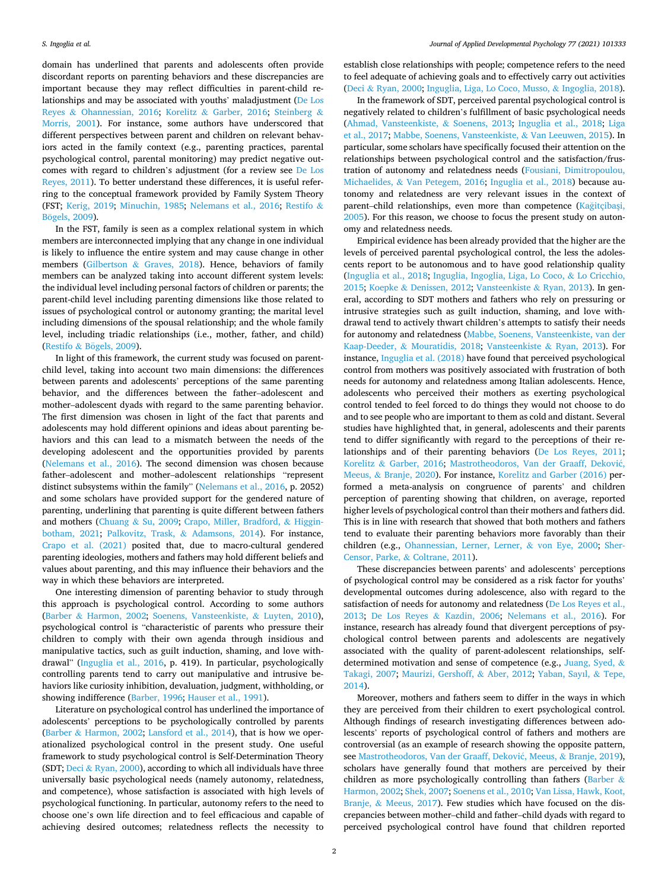domain has underlined that parents and adolescents often provide discordant reports on parenting behaviors and these discrepancies are important because they may reflect difficulties in parent-child relationships and may be associated with youths' maladjustment [\(De Los](#page-10-0)  Reyes & [Ohannessian, 2016;](#page-10-0) Korelitz & [Garber, 2016;](#page-11-0) [Steinberg](#page-12-0) & [Morris, 2001](#page-12-0)). For instance, some authors have underscored that different perspectives between parent and children on relevant behaviors acted in the family context (e.g., parenting practices, parental psychological control, parental monitoring) may predict negative outcomes with regard to children's adjustment (for a review see [De Los](#page-10-0)  [Reyes, 2011\)](#page-10-0). To better understand these differences, it is useful referring to the conceptual framework provided by Family System Theory (FST; [Kerig, 2019;](#page-11-0) [Minuchin, 1985](#page-11-0); [Nelemans et al., 2016](#page-11-0); [Restifo](#page-12-0) & Bögels, 2009).

In the FST, family is seen as a complex relational system in which members are interconnected implying that any change in one individual is likely to influence the entire system and may cause change in other members (Gilbertson & [Graves, 2018\)](#page-11-0). Hence, behaviors of family members can be analyzed taking into account different system levels: the individual level including personal factors of children or parents; the parent-child level including parenting dimensions like those related to issues of psychological control or autonomy granting; the marital level including dimensions of the spousal relationship; and the whole family level, including triadic relationships (i.e., mother, father, and child) (Restifo  $&$  Bögels, 2009).

In light of this framework, the current study was focused on parentchild level, taking into account two main dimensions: the differences between parents and adolescents' perceptions of the same parenting behavior, and the differences between the father–adolescent and mother–adolescent dyads with regard to the same parenting behavior. The first dimension was chosen in light of the fact that parents and adolescents may hold different opinions and ideas about parenting behaviors and this can lead to a mismatch between the needs of the developing adolescent and the opportunities provided by parents ([Nelemans et al., 2016\)](#page-11-0). The second dimension was chosen because father–adolescent and mother–adolescent relationships "represent distinct subsystems within the family" ([Nelemans et al., 2016](#page-11-0), p. 2052) and some scholars have provided support for the gendered nature of parenting, underlining that parenting is quite different between fathers and mothers (Chuang & [Su, 2009](#page-10-0); [Crapo, Miller, Bradford,](#page-10-0) & Higgin[botham, 2021](#page-10-0); [Palkovitz, Trask,](#page-11-0) & Adamsons, 2014). For instance, [Crapo et al. \(2021\)](#page-10-0) posited that, due to macro-cultural gendered parenting ideologies, mothers and fathers may hold different beliefs and values about parenting, and this may influence their behaviors and the way in which these behaviors are interpreted.

One interesting dimension of parenting behavior to study through this approach is psychological control. According to some authors (Barber & [Harmon, 2002](#page-10-0); [Soenens, Vansteenkiste,](#page-12-0) & Luyten, 2010), psychological control is "characteristic of parents who pressure their children to comply with their own agenda through insidious and manipulative tactics, such as guilt induction, shaming, and love withdrawal" ([Inguglia et al., 2016](#page-11-0), p. 419). In particular, psychologically controlling parents tend to carry out manipulative and intrusive behaviors like curiosity inhibition, devaluation, judgment, withholding, or showing indifference ([Barber, 1996;](#page-10-0) [Hauser et al., 1991\)](#page-11-0).

Literature on psychological control has underlined the importance of adolescents' perceptions to be psychologically controlled by parents (Barber & [Harmon, 2002](#page-10-0); [Lansford et al., 2014](#page-11-0)), that is how we operationalized psychological control in the present study. One useful framework to study psychological control is Self-Determination Theory (SDT; Deci & [Ryan, 2000\)](#page-10-0), according to which all individuals have three universally basic psychological needs (namely autonomy, relatedness, and competence), whose satisfaction is associated with high levels of psychological functioning. In particular, autonomy refers to the need to choose one's own life direction and to feel efficacious and capable of achieving desired outcomes; relatedness reflects the necessity to

establish close relationships with people; competence refers to the need to feel adequate of achieving goals and to effectively carry out activities (Deci & [Ryan, 2000](#page-10-0); [Inguglia, Liga, Lo Coco, Musso,](#page-11-0) & Ingoglia, 2018).

In the framework of SDT, perceived parental psychological control is negatively related to children's fulfillment of basic psychological needs ([Ahmad, Vansteenkiste,](#page-10-0) & Soenens, 2013; [Inguglia et al., 2018](#page-11-0); [Liga](#page-11-0)  [et al., 2017](#page-11-0); [Mabbe, Soenens, Vansteenkiste,](#page-11-0) & Van Leeuwen, 2015). In particular, some scholars have specifically focused their attention on the relationships between psychological control and the satisfaction/frustration of autonomy and relatedness needs [\(Fousiani, Dimitropoulou,](#page-11-0)  Michaelides, & [Van Petegem, 2016](#page-11-0); [Inguglia et al., 2018](#page-11-0)) because autonomy and relatedness are very relevant issues in the context of parent-child relationships, even more than competence (Kağitçibaşi, [2005\)](#page-11-0). For this reason, we choose to focus the present study on autonomy and relatedness needs.

Empirical evidence has been already provided that the higher are the levels of perceived parental psychological control, the less the adolescents report to be autonomous and to have good relationship quality ([Inguglia et al., 2018; Inguglia, Ingoglia, Liga, Lo Coco,](#page-11-0) & Lo Cricchio, [2015;](#page-11-0) Koepke & [Denissen, 2012](#page-11-0); [Vansteenkiste](#page-12-0) & Ryan, 2013). In general, according to SDT mothers and fathers who rely on pressuring or intrusive strategies such as guilt induction, shaming, and love withdrawal tend to actively thwart children's attempts to satisfy their needs for autonomy and relatedness ([Mabbe, Soenens, Vansteenkiste, van der](#page-11-0)  Kaap-Deeder, & [Mouratidis, 2018;](#page-11-0) [Vansteenkiste](#page-12-0) & Ryan, 2013). For instance, [Inguglia et al. \(2018\)](#page-11-0) have found that perceived psychological control from mothers was positively associated with frustration of both needs for autonomy and relatedness among Italian adolescents. Hence, adolescents who perceived their mothers as exerting psychological control tended to feel forced to do things they would not choose to do and to see people who are important to them as cold and distant. Several studies have highlighted that, in general, adolescents and their parents tend to differ significantly with regard to the perceptions of their relationships and of their parenting behaviors [\(De Los Reyes, 2011](#page-10-0); Korelitz & [Garber, 2016;](#page-11-0) [Mastrotheodoros, Van der Graaff, Dekovi](#page-11-0)ć, Meeus, & [Branje, 2020](#page-11-0)). For instance, [Korelitz and Garber \(2016\)](#page-11-0) performed a meta-analysis on congruence of parents' and children perception of parenting showing that children, on average, reported higher levels of psychological control than their mothers and fathers did. This is in line with research that showed that both mothers and fathers tend to evaluate their parenting behaviors more favorably than their children (e.g., [Ohannessian, Lerner, Lerner,](#page-11-0) & von Eye, 2000; [Sher-](#page-12-0)[Censor, Parke,](#page-12-0) & Coltrane, 2011).

These discrepancies between parents' and adolescents' perceptions of psychological control may be considered as a risk factor for youths' developmental outcomes during adolescence, also with regard to the satisfaction of needs for autonomy and relatedness ([De Los Reyes et al.,](#page-10-0)  [2013;](#page-10-0) [De Los Reyes](#page-10-0) & Kazdin, 2006; [Nelemans et al., 2016](#page-11-0)). For instance, research has already found that divergent perceptions of psychological control between parents and adolescents are negatively associated with the quality of parent-adolescent relationships, selfdetermined motivation and sense of competence (e.g., [Juang, Syed,](#page-11-0) & [Takagi, 2007](#page-11-0); [Maurizi, Gershoff,](#page-11-0) & Aber, 2012; [Yaban, Sayıl,](#page-12-0) & Tepe, [2014\)](#page-12-0).

Moreover, mothers and fathers seem to differ in the ways in which they are perceived from their children to exert psychological control. Although findings of research investigating differences between adolescents' reports of psychological control of fathers and mothers are controversial (as an example of research showing the opposite pattern, see [Mastrotheodoros, Van der Graaff, Dekovi](#page-11-0)ć, Meeus, & Branje, 2019), scholars have generally found that mothers are perceived by their children as more psychologically controlling than fathers [\(Barber](#page-10-0) & [Harmon, 2002](#page-10-0); [Shek, 2007](#page-12-0); [Soenens et al., 2010; Van Lissa, Hawk, Koot,](#page-12-0)  Branje, & [Meeus, 2017](#page-12-0)). Few studies which have focused on the discrepancies between mother–child and father–child dyads with regard to perceived psychological control have found that children reported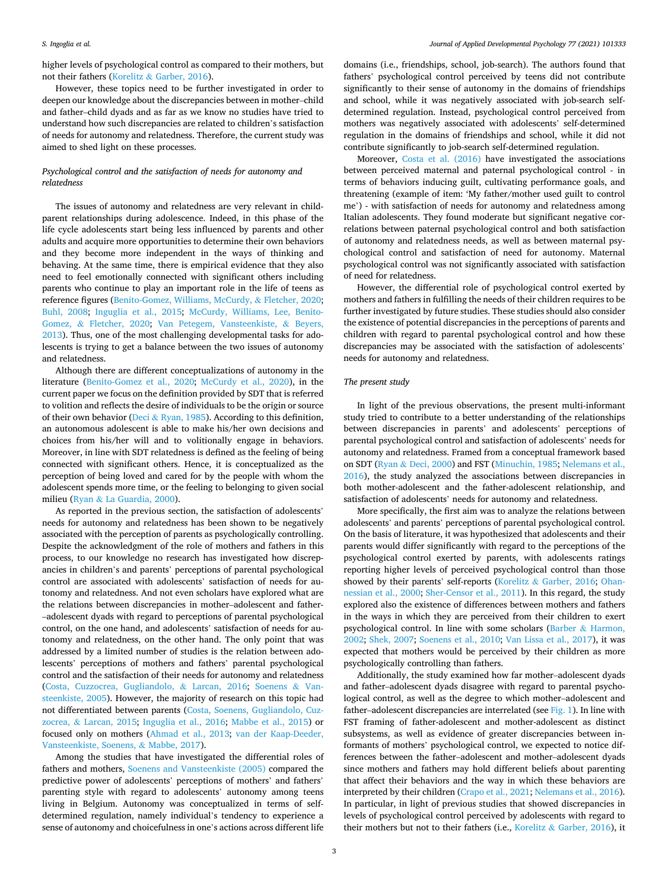higher levels of psychological control as compared to their mothers, but not their fathers (Korelitz & [Garber, 2016\)](#page-11-0).

However, these topics need to be further investigated in order to deepen our knowledge about the discrepancies between in mother–child and father–child dyads and as far as we know no studies have tried to understand how such discrepancies are related to children's satisfaction of needs for autonomy and relatedness. Therefore, the current study was aimed to shed light on these processes.

# *Psychological control and the satisfaction of needs for autonomy and relatedness*

The issues of autonomy and relatedness are very relevant in childparent relationships during adolescence. Indeed, in this phase of the life cycle adolescents start being less influenced by parents and other adults and acquire more opportunities to determine their own behaviors and they become more independent in the ways of thinking and behaving. At the same time, there is empirical evidence that they also need to feel emotionally connected with significant others including parents who continue to play an important role in the life of teens as reference figures ([Benito-Gomez, Williams, McCurdy,](#page-10-0) & Fletcher, 2020; [Buhl, 2008](#page-10-0); [Inguglia et al., 2015](#page-11-0); [McCurdy, Williams, Lee, Benito-](#page-11-0)Gomez, & [Fletcher, 2020;](#page-11-0) [Van Petegem, Vansteenkiste,](#page-12-0) & Beyers, [2013\)](#page-12-0). Thus, one of the most challenging developmental tasks for adolescents is trying to get a balance between the two issues of autonomy and relatedness.

Although there are different conceptualizations of autonomy in the literature [\(Benito-Gomez et al., 2020](#page-10-0); [McCurdy et al., 2020\)](#page-11-0), in the current paper we focus on the definition provided by SDT that is referred to volition and reflects the desire of individuals to be the origin or source of their own behavior (Deci & [Ryan, 1985\)](#page-10-0). According to this definition, an autonomous adolescent is able to make his/her own decisions and choices from his/her will and to volitionally engage in behaviors. Moreover, in line with SDT relatedness is defined as the feeling of being connected with significant others. Hence, it is conceptualized as the perception of being loved and cared for by the people with whom the adolescent spends more time, or the feeling to belonging to given social milieu (Ryan & [La Guardia, 2000\)](#page-12-0).

As reported in the previous section, the satisfaction of adolescents' needs for autonomy and relatedness has been shown to be negatively associated with the perception of parents as psychologically controlling. Despite the acknowledgment of the role of mothers and fathers in this process, to our knowledge no research has investigated how discrepancies in children's and parents' perceptions of parental psychological control are associated with adolescents' satisfaction of needs for autonomy and relatedness. And not even scholars have explored what are the relations between discrepancies in mother–adolescent and father-–adolescent dyads with regard to perceptions of parental psychological control, on the one hand, and adolescents' satisfaction of needs for autonomy and relatedness, on the other hand. The only point that was addressed by a limited number of studies is the relation between adolescents' perceptions of mothers and fathers' parental psychological control and the satisfaction of their needs for autonomy and relatedness ([Costa, Cuzzocrea, Gugliandolo,](#page-10-0) & Larcan, 2016; [Soenens](#page-12-0) & Van[steenkiste, 2005](#page-12-0)). However, the majority of research on this topic had not differentiated between parents ([Costa, Soenens, Gugliandolo, Cuz](#page-10-0)zocrea, & [Larcan, 2015](#page-10-0); [Inguglia et al., 2016](#page-11-0); [Mabbe et al., 2015](#page-11-0)) or focused only on mothers ([Ahmad et al., 2013;](#page-10-0) [van der Kaap-Deeder,](#page-11-0)  [Vansteenkiste, Soenens,](#page-11-0) & Mabbe, 2017).

Among the studies that have investigated the differential roles of fathers and mothers, [Soenens and Vansteenkiste \(2005\)](#page-12-0) compared the predictive power of adolescents' perceptions of mothers' and fathers' parenting style with regard to adolescents' autonomy among teens living in Belgium. Autonomy was conceptualized in terms of selfdetermined regulation, namely individual's tendency to experience a sense of autonomy and choicefulness in one's actions across different life

domains (i.e., friendships, school, job-search). The authors found that fathers' psychological control perceived by teens did not contribute significantly to their sense of autonomy in the domains of friendships and school, while it was negatively associated with job-search selfdetermined regulation. Instead, psychological control perceived from mothers was negatively associated with adolescents' self-determined regulation in the domains of friendships and school, while it did not contribute significantly to job-search self-determined regulation.

Moreover, [Costa et al. \(2016\)](#page-10-0) have investigated the associations between perceived maternal and paternal psychological control - in terms of behaviors inducing guilt, cultivating performance goals, and threatening (example of item: 'My father/mother used guilt to control me') - with satisfaction of needs for autonomy and relatedness among Italian adolescents. They found moderate but significant negative correlations between paternal psychological control and both satisfaction of autonomy and relatedness needs, as well as between maternal psychological control and satisfaction of need for autonomy. Maternal psychological control was not significantly associated with satisfaction of need for relatedness.

However, the differential role of psychological control exerted by mothers and fathers in fulfilling the needs of their children requires to be further investigated by future studies. These studies should also consider the existence of potential discrepancies in the perceptions of parents and children with regard to parental psychological control and how these discrepancies may be associated with the satisfaction of adolescents' needs for autonomy and relatedness.

## *The present study*

In light of the previous observations, the present multi-informant study tried to contribute to a better understanding of the relationships between discrepancies in parents' and adolescents' perceptions of parental psychological control and satisfaction of adolescents' needs for autonomy and relatedness. Framed from a conceptual framework based on SDT (Ryan & [Deci, 2000](#page-12-0)) and FST [\(Minuchin, 1985](#page-11-0); [Nelemans et al.,](#page-11-0)  [2016\)](#page-11-0), the study analyzed the associations between discrepancies in both mother-adolescent and the father-adolescent relationship, and satisfaction of adolescents' needs for autonomy and relatedness.

More specifically, the first aim was to analyze the relations between adolescents' and parents' perceptions of parental psychological control. On the basis of literature, it was hypothesized that adolescents and their parents would differ significantly with regard to the perceptions of the psychological control exerted by parents, with adolescents ratings reporting higher levels of perceived psychological control than those showed by their parents' self-reports (Korelitz & [Garber, 2016](#page-11-0); [Ohan](#page-11-0)[nessian et al., 2000](#page-11-0); [Sher-Censor et al., 2011\)](#page-12-0). In this regard, the study explored also the existence of differences between mothers and fathers in the ways in which they are perceived from their children to exert psychological control. In line with some scholars (Barber & [Harmon,](#page-10-0)  [2002;](#page-10-0) [Shek, 2007](#page-12-0); [Soenens et al., 2010](#page-12-0); [Van Lissa et al., 2017](#page-12-0)), it was expected that mothers would be perceived by their children as more psychologically controlling than fathers.

Additionally, the study examined how far mother–adolescent dyads and father–adolescent dyads disagree with regard to parental psychological control, as well as the degree to which mother–adolescent and father–adolescent discrepancies are interrelated (see [Fig. 1\)](#page-3-0). In line with FST framing of father-adolescent and mother-adolescent as distinct subsystems, as well as evidence of greater discrepancies between informants of mothers' psychological control, we expected to notice differences between the father–adolescent and mother–adolescent dyads since mothers and fathers may hold different beliefs about parenting that affect their behaviors and the way in which these behaviors are interpreted by their children ([Crapo et al., 2021;](#page-10-0) [Nelemans et al., 2016](#page-11-0)). In particular, in light of previous studies that showed discrepancies in levels of psychological control perceived by adolescents with regard to their mothers but not to their fathers (i.e., Korelitz & [Garber, 2016\)](#page-11-0), it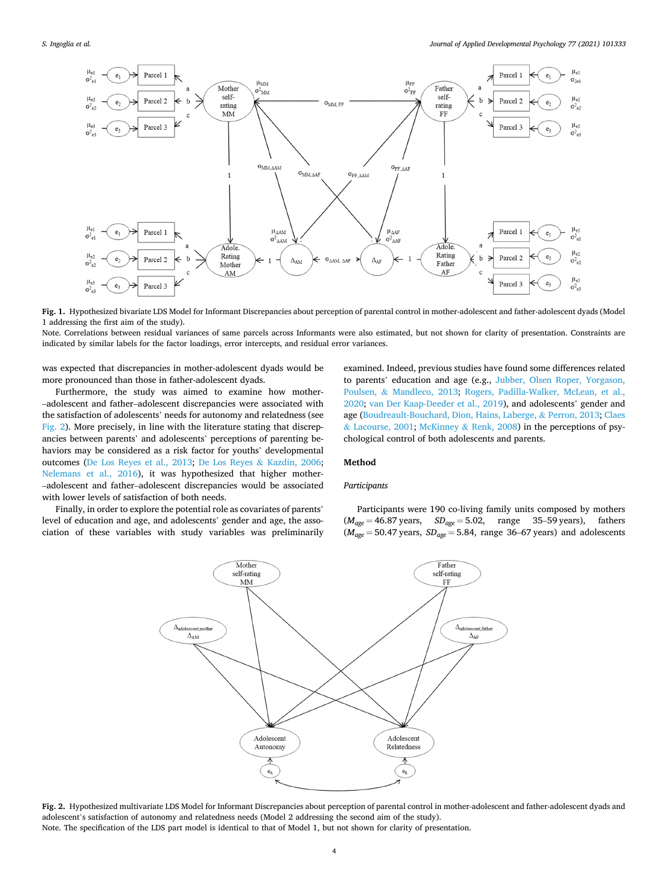<span id="page-3-0"></span>

**Fig. 1.** Hypothesized bivariate LDS Model for Informant Discrepancies about perception of parental control in mother-adolescent and father-adolescent dyads (Model 1 addressing the first aim of the study).

Note. Correlations between residual variances of same parcels across Informants were also estimated, but not shown for clarity of presentation. Constraints are indicated by similar labels for the factor loadings, error intercepts, and residual error variances.

was expected that discrepancies in mother-adolescent dyads would be more pronounced than those in father-adolescent dyads.

Furthermore, the study was aimed to examine how mother-–adolescent and father–adolescent discrepancies were associated with the satisfaction of adolescents' needs for autonomy and relatedness (see Fig. 2). More precisely, in line with the literature stating that discrepancies between parents' and adolescents' perceptions of parenting behaviors may be considered as a risk factor for youths' developmental outcomes [\(De Los Reyes et al., 2013;](#page-10-0) [De Los Reyes](#page-10-0) & Kazdin, 2006; [Nelemans et al., 2016\)](#page-11-0), it was hypothesized that higher mother-–adolescent and father–adolescent discrepancies would be associated with lower levels of satisfaction of both needs.

Finally, in order to explore the potential role as covariates of parents' level of education and age, and adolescents' gender and age, the association of these variables with study variables was preliminarily examined. Indeed, previous studies have found some differences related to parents' education and age (e.g., [Jubber, Olsen Roper, Yorgason,](#page-11-0)  Poulsen, & [Mandleco, 2013;](#page-11-0) [Rogers, Padilla-Walker, McLean, et al.,](#page-12-0)  [2020;](#page-12-0) [van Der Kaap-Deeder et al., 2019\)](#page-10-0), and adolescents' gender and age ([Boudreault-Bouchard, Dion, Hains, Laberge,](#page-10-0) & Perron, 2013; [Claes](#page-10-0)  & [Lacourse, 2001](#page-10-0); McKinney & [Renk, 2008](#page-11-0)) in the perceptions of psychological control of both adolescents and parents.

# **Method**

## *Participants*

Participants were 190 co-living family units composed by mothers (*Mage* = 46.87 years, *SDage* = 5.02, range 35–59 years), fathers  $(M<sub>age</sub> = 50.47$  years,  $SD<sub>age</sub> = 5.84$ , range 36–67 years) and adolescents



**Fig. 2.** Hypothesized multivariate LDS Model for Informant Discrepancies about perception of parental control in mother-adolescent and father-adolescent dyads and adolescent's satisfaction of autonomy and relatedness needs (Model 2 addressing the second aim of the study). Note. The specification of the LDS part model is identical to that of Model 1, but not shown for clarity of presentation.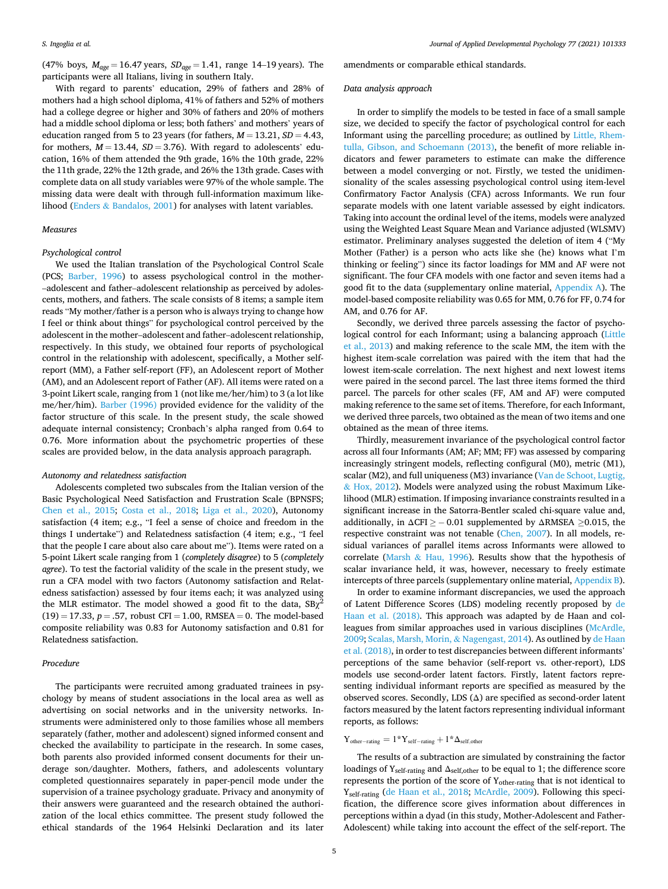(47% boys, *Mage* = 16.47 years, *SDage* = 1.41, range 14–19 years). The participants were all Italians, living in southern Italy.

With regard to parents' education, 29% of fathers and 28% of mothers had a high school diploma, 41% of fathers and 52% of mothers had a college degree or higher and 30% of fathers and 20% of mothers had a middle school diploma or less; both fathers' and mothers' years of education ranged from 5 to 23 years (for fathers,  $M = 13.21$ ,  $SD = 4.43$ , for mothers,  $M = 13.44$ ,  $SD = 3.76$ ). With regard to adolescents' education, 16% of them attended the 9th grade, 16% the 10th grade, 22% the 11th grade, 22% the 12th grade, and 26% the 13th grade. Cases with complete data on all study variables were 97% of the whole sample. The missing data were dealt with through full-information maximum likelihood (Enders & [Bandalos, 2001\)](#page-11-0) for analyses with latent variables.

#### *Measures*

#### *Psychological control*

We used the Italian translation of the Psychological Control Scale (PCS; [Barber, 1996\)](#page-10-0) to assess psychological control in the mother-–adolescent and father–adolescent relationship as perceived by adolescents, mothers, and fathers. The scale consists of 8 items; a sample item reads "My mother/father is a person who is always trying to change how I feel or think about things" for psychological control perceived by the adolescent in the mother–adolescent and father–adolescent relationship, respectively. In this study, we obtained four reports of psychological control in the relationship with adolescent, specifically, a Mother selfreport (MM), a Father self-report (FF), an Adolescent report of Mother (AM), and an Adolescent report of Father (AF). All items were rated on a 3-point Likert scale, ranging from 1 (not like me/her/him) to 3 (a lot like me/her/him). [Barber \(1996\)](#page-10-0) provided evidence for the validity of the factor structure of this scale. In the present study, the scale showed adequate internal consistency; Cronbach's alpha ranged from 0.64 to 0.76. More information about the psychometric properties of these scales are provided below, in the data analysis approach paragraph.

#### *Autonomy and relatedness satisfaction*

Adolescents completed two subscales from the Italian version of the Basic Psychological Need Satisfaction and Frustration Scale (BPNSFS; [Chen et al., 2015;](#page-10-0) [Costa et al., 2018;](#page-10-0) [Liga et al., 2020\)](#page-11-0), Autonomy satisfaction (4 item; e.g., "I feel a sense of choice and freedom in the things I undertake") and Relatedness satisfaction (4 item; e.g., "I feel that the people I care about also care about me"). Items were rated on a 5-point Likert scale ranging from 1 (*completely disagree*) to 5 (*completely agree*). To test the factorial validity of the scale in the present study, we run a CFA model with two factors (Autonomy satisfaction and Relatedness satisfaction) assessed by four items each; it was analyzed using the MLR estimator. The model showed a good fit to the data,  $SB\chi$  $(19) = 17.33, p = .57$ , robust CFI = 1.00, RMSEA = 0. The model-based composite reliability was 0.83 for Autonomy satisfaction and 0.81 for Relatedness satisfaction.

# *Procedure*

The participants were recruited among graduated trainees in psychology by means of student associations in the local area as well as advertising on social networks and in the university networks. Instruments were administered only to those families whose all members separately (father, mother and adolescent) signed informed consent and checked the availability to participate in the research. In some cases, both parents also provided informed consent documents for their underage son/daughter. Mothers, fathers, and adolescents voluntary completed questionnaires separately in paper-pencil mode under the supervision of a trainee psychology graduate. Privacy and anonymity of their answers were guaranteed and the research obtained the authorization of the local ethics committee. The present study followed the ethical standards of the 1964 Helsinki Declaration and its later

amendments or comparable ethical standards.

## *Data analysis approach*

In order to simplify the models to be tested in face of a small sample size, we decided to specify the factor of psychological control for each Informant using the parcelling procedure; as outlined by [Little, Rhem](#page-11-0)[tulla, Gibson, and Schoemann \(2013\),](#page-11-0) the benefit of more reliable indicators and fewer parameters to estimate can make the difference between a model converging or not. Firstly, we tested the unidimensionality of the scales assessing psychological control using item-level Confirmatory Factor Analysis (CFA) across Informants. We run four separate models with one latent variable assessed by eight indicators. Taking into account the ordinal level of the items, models were analyzed using the Weighted Least Square Mean and Variance adjusted (WLSMV) estimator. Preliminary analyses suggested the deletion of item 4 ("My Mother (Father) is a person who acts like she (he) knows what I'm thinking or feeling") since its factor loadings for MM and AF were not significant. The four CFA models with one factor and seven items had a good fit to the data (supplementary online material, [Appendix A\)](#page-9-0). The model-based composite reliability was 0.65 for MM, 0.76 for FF, 0.74 for AM, and 0.76 for AF.

Secondly, we derived three parcels assessing the factor of psychological control for each Informant; using a balancing approach [\(Little](#page-11-0)  [et al., 2013](#page-11-0)) and making reference to the scale MM, the item with the highest item-scale correlation was paired with the item that had the lowest item-scale correlation. The next highest and next lowest items were paired in the second parcel. The last three items formed the third parcel. The parcels for other scales (FF, AM and AF) were computed making reference to the same set of items. Therefore, for each Informant, we derived three parcels, two obtained as the mean of two items and one obtained as the mean of three items.

Thirdly, measurement invariance of the psychological control factor across all four Informants (AM; AF; MM; FF) was assessed by comparing increasingly stringent models, reflecting configural (M0), metric (M1), scalar (M2), and full uniqueness (M3) invariance ([Van de Schoot, Lugtig,](#page-12-0)  & [Hox, 2012\)](#page-12-0). Models were analyzed using the robust Maximum Likelihood (MLR) estimation. If imposing invariance constraints resulted in a significant increase in the Satorra-Bentler scaled chi-square value and, additionally, in  $\Delta$ CFI  $\ge$  - 0.01 supplemented by  $\Delta$ RMSEA  $\ge$ 0.015, the respective constraint was not tenable [\(Chen, 2007\)](#page-10-0). In all models, residual variances of parallel items across Informants were allowed to correlate (Marsh & [Hau, 1996\)](#page-11-0). Results show that the hypothesis of scalar invariance held, it was, however, necessary to freely estimate intercepts of three parcels (supplementary online material, [Appendix B](#page-10-0)).

In order to examine informant discrepancies, we used the approach of Latent Difference Scores (LDS) modeling recently proposed by [de](#page-11-0)  [Haan et al. \(2018\)](#page-11-0). This approach was adapted by de Haan and colleagues from similar approaches used in various disciplines [\(McArdle,](#page-11-0)  [2009;](#page-11-0) [Scalas, Marsh, Morin,](#page-12-0) & Nagengast, 2014). As outlined by [de Haan](#page-11-0)  [et al. \(2018\)](#page-11-0), in order to test discrepancies between different informants' perceptions of the same behavior (self-report vs. other-report), LDS models use second-order latent factors. Firstly, latent factors representing individual informant reports are specified as measured by the observed scores. Secondly, LDS (Δ) are specified as second-order latent factors measured by the latent factors representing individual informant reports, as follows:

# $Y_{other-rating} = 1*Y_{self-rating} + 1* \Delta_{self,other}$

The results of a subtraction are simulated by constraining the factor loadings of  $Y_{self\text{-rating}}$  and  $\Delta_{self,other}$  to be equal to 1; the difference score represents the portion of the score of Yother-rating that is not identical to Yself-rating [\(de Haan et al., 2018;](#page-11-0) [McArdle, 2009\)](#page-11-0). Following this specification, the difference score gives information about differences in perceptions within a dyad (in this study, Mother-Adolescent and Father-Adolescent) while taking into account the effect of the self-report. The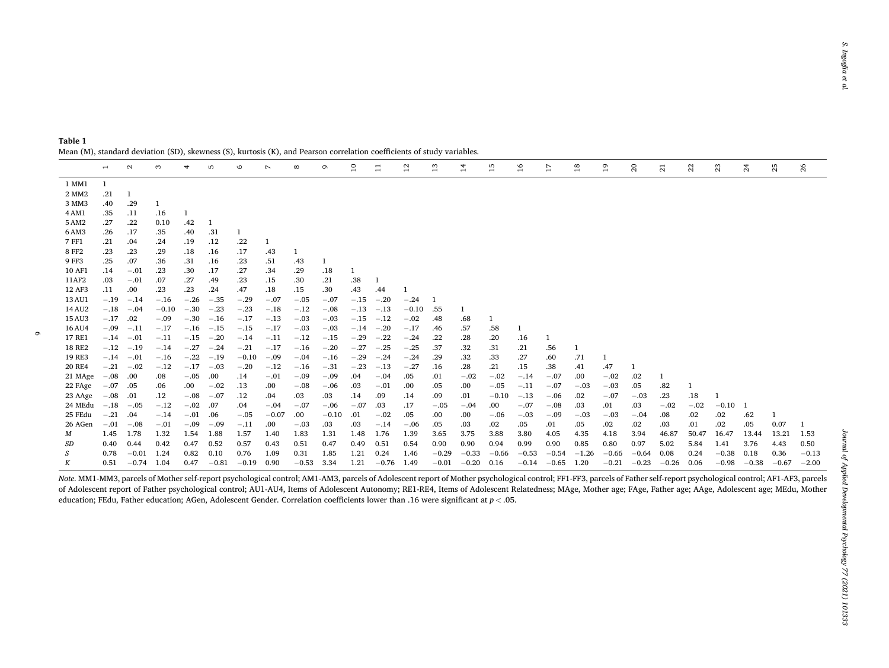|               | $\overline{\phantom{0}}$ | $\mathbf{\sim}$ | S       | 4      | ъ       | $\circ$ | $\overline{\phantom{0}}$ | $^{\circ}$   | $\sigma$ | $\overline{10}$ | ፤       | $^{12}$ | ∺       | $\overline{1}$ | 15      | $\frac{6}{2}$ | 17      | $\frac{8}{1}$ | $\overline{1}$ | ສ       | ឆ       | $\mathbb{Z}$ | 23      | $\mathfrak{z}$ | 25      | 26      |
|---------------|--------------------------|-----------------|---------|--------|---------|---------|--------------------------|--------------|----------|-----------------|---------|---------|---------|----------------|---------|---------------|---------|---------------|----------------|---------|---------|--------------|---------|----------------|---------|---------|
| 1 MM1         | $\mathbf{1}$             |                 |         |        |         |         |                          |              |          |                 |         |         |         |                |         |               |         |               |                |         |         |              |         |                |         |         |
| 2 MM2         | .21                      |                 |         |        |         |         |                          |              |          |                 |         |         |         |                |         |               |         |               |                |         |         |              |         |                |         |         |
| 3 MM3         | .40                      | .29             |         |        |         |         |                          |              |          |                 |         |         |         |                |         |               |         |               |                |         |         |              |         |                |         |         |
| 4 AM1         | .35                      | .11             | .16     |        |         |         |                          |              |          |                 |         |         |         |                |         |               |         |               |                |         |         |              |         |                |         |         |
| 5 AM2         | .27                      | .22             | 0.10    | .42    |         |         |                          |              |          |                 |         |         |         |                |         |               |         |               |                |         |         |              |         |                |         |         |
| 6 AM3         | .26                      | .17             | .35     | .40    | .31     |         |                          |              |          |                 |         |         |         |                |         |               |         |               |                |         |         |              |         |                |         |         |
| 7 FF1         | .21                      | .04             | .24     | .19    | .12     | .22     | 1                        |              |          |                 |         |         |         |                |         |               |         |               |                |         |         |              |         |                |         |         |
| <b>8 FF2</b>  | .23                      | .23             | .29     | .18    | .16     | .17     | .43                      | $\mathbf{1}$ |          |                 |         |         |         |                |         |               |         |               |                |         |         |              |         |                |         |         |
| 9 FF3         | .25                      | .07             | .36     | .31    | .16     | .23     | .51                      | .43          | 1        |                 |         |         |         |                |         |               |         |               |                |         |         |              |         |                |         |         |
| 10 AF1        | .14                      | $-.01$          | .23     | .30    | .17     | .27     | .34                      | .29          | .18      |                 |         |         |         |                |         |               |         |               |                |         |         |              |         |                |         |         |
| 11AF2         | .03                      | $-.01$          | .07     | .27    | .49     | .23     | .15                      | .30          | .21      | .38             |         |         |         |                |         |               |         |               |                |         |         |              |         |                |         |         |
| 12 AF3        | .11                      | .00             | .23     | .23    | .24     | .47     | .18                      | .15          | .30      | .43             | .44     |         |         |                |         |               |         |               |                |         |         |              |         |                |         |         |
| 13 AU1        | $-.19$                   | $-.14$          | $-.16$  | $-.26$ | $-.35$  | $-.29$  | $-.07$                   | $-.05$       | $-.07$   | $-.15$          | $-.20$  | $-.24$  |         |                |         |               |         |               |                |         |         |              |         |                |         |         |
| 14 AU2        | $-.18$                   | $-.04$          | $-0.10$ | $-.30$ | $-.23$  | $-.23$  | $-.18$                   | $-.12$       | $-.08$   | $-.13$          | $-.13$  | $-0.10$ | .55     |                |         |               |         |               |                |         |         |              |         |                |         |         |
| 15 AU3        | $-.17$                   | .02             | $-.09$  | $-.30$ | $-.16$  | $-.17$  | $-.13$                   | $-.03$       | $-.03$   | $-.15$          | $-.12$  | $-.02$  | .48     | .68            |         |               |         |               |                |         |         |              |         |                |         |         |
| 16 AU4        | $-.09$                   | $-.11$          | $-.17$  | $-.16$ | $-.15$  | $-.15$  | $-.17$                   | $-.03$       | $-.03$   | $-.14$          | $-.20$  | $-.17$  | .46     | .57            | .58     | -1            |         |               |                |         |         |              |         |                |         |         |
| 17 RE1        | $-.14$                   | $-.01$          | $-.11$  | $-.15$ | $-.20$  | $-.14$  | $-.11$                   | $-.12$       | $-.15$   | $-.29$          | $-.22$  | $-.24$  | .22     | .28            | .20     | .16           |         |               |                |         |         |              |         |                |         |         |
| <b>18 RE2</b> | $-.12$                   | $-.19$          | $-.14$  | $-.27$ | $-.24$  | $-.21$  | $-.17$                   | $-.16$       | $-.20$   | $-.27$          | $-.25$  | $-.25$  | .37     | .32            | .31     | .21           | .56     |               |                |         |         |              |         |                |         |         |
| 19 RE3        | $-.14$                   | $-.01$          | $-.16$  | $-.22$ | $-.19$  | $-0.10$ | $-.09$                   | $-.04$       | $-.16$   | $-.29$          | $-.24$  | $-.24$  | .29     | .32            | .33     | .27           | .60     | .71           | -1             |         |         |              |         |                |         |         |
| <b>20 RE4</b> | $-.21$                   | $-.02$          | $-.12$  | $-.17$ | $-.03$  | $-.20$  | $-.12$                   | $-.16$       | $-.31$   | $-.23$          | $-.13$  | $-.27$  | .16     | .28            | .21     | .15           | .38     | .41           | .47            |         |         |              |         |                |         |         |
| 21 MAge       | $-.08$                   | .00             | .08     | $-.05$ | .00.    | .14     | $-.01$                   | $-.09$       | $-.09$   | .04             | $-.04$  | .05     | .01     | $-.02$         | $-.02$  | $-.14$        | $-.07$  | .00           | $-.02$         | .02     | 1       |              |         |                |         |         |
| 22 FAge       | $-.07$                   | .05             | .06     | .00    | $-.02$  | .13     | .00.                     | $-.08$       | $-.06$   | .03             | $-.01$  | .00     | .05     | .00            | $-.05$  | $-.11$        | $-.07$  | $-.03$        | $-.03$         | .05     | .82     |              |         |                |         |         |
| 23 AAge       | $-.08$                   | .01             | .12     | $-.08$ | $-.07$  | .12     | .04                      | .03          | .03      | .14             | .09     | .14     | .09     | .01            | $-0.10$ | $-.13$        | $-.06$  | .02           | $-.07$         | $-.03$  | .23     | .18          |         |                |         |         |
| 24 MEdu       | $-.18$                   | $-.05$          | $-.12$  | $-.02$ | .07     | .04     | $-.04$                   | $-.07$       | $-.06$   | $-.07$          | .03     | .17     | $-.05$  | $-.04$         | .00.    | $-.07$        | $-.08$  | .03           | .01            | .03     | $-.02$  | $-.02$       | $-0.10$ | -1             |         |         |
| 25 FEdu       | $-.21$                   | .04             | $-.14$  | $-.01$ | .06     | $-.05$  | $-0.07$                  | .00          | $-0.10$  | .01             | $-.02$  | .05     | .00     | .00            | $-.06$  | $-.03$        | $-.09$  | $-.03$        | $-.03$         | $-.04$  | .08     | .02          | .02     | .62            |         |         |
| 26 AGen       | $-.01$                   | $-.08$          | $-.01$  | $-.09$ | $-.09$  | $-.11$  | .00.                     | $-.03$       | .03      | .03             | $-.14$  | $-.06$  | .05     | .03            | .02     | .05           | .01     | .05           | .02            | .02     | .03     | .01          | .02     | .05            | 0.07    |         |
| М             | 1.45                     | 1.78            | 1.32    | 1.54   | 1.88    | 1.57    | 1.40                     | 1.83         | 1.31     | 1.48            | 1.76    | 1.39    | 3.65    | 3.75           | 3.88    | 3.80          | 4.05    | 4.35          | 4.18           | 3.94    | 46.87   | 50.47        | 16.47   | 13.44          | 13.21   | 1.53    |
| SD            | 0.40                     | 0.44            | 0.42    | 0.47   | 0.52    | 0.57    | 0.43                     | 0.51         | 0.47     | 0.49            | 0.51    | 0.54    | 0.90    | 0.90           | 0.94    | 0.99          | 0.90    | 0.85          | 0.80           | 0.97    | 5.02    | 5.84         | 1.41    | 3.76           | 4.43    | 0.50    |
|               | 0.78                     | $-0.01$         | 1.24    | 0.82   | 0.10    | 0.76    | 1.09                     | 0.31         | 1.85     | 1.21            | 0.24    | 1.46    | $-0.29$ | $-0.33$        | $-0.66$ | $-0.53$       | $-0.54$ | $-1.26$       | $-0.66$        | $-0.64$ | 0.08    | 0.24         | $-0.38$ | 0.18           | 0.36    | $-0.13$ |
| К             | 0.51                     | $-0.74$         | 1.04    | 0.47   | $-0.81$ | $-0.19$ | 0.90                     | $-0.53$      | 3.34     | 1.21            | $-0.76$ | 1.49    | $-0.01$ | $-0.20$        | 0.16    | $-0.14$       | $-0.65$ | 1.20          | $-0.21$        | $-0.23$ | $-0.26$ | 0.06         | $-0.98$ | $-0.38$        | $-0.67$ | $-2.00$ |

<span id="page-5-0"></span>**Table 1**  Mean (M), standard deviation (SD), skewness (S), kurtosis (K), and Pearson correlation coefficients of study variables.

*Note*. MM1-MM3, parcels of Mother self-report psychological control; AM1-AM3, parcels of Adolescent report of Mother psychological control; FF1-FF3, parcels of Father self-report psychological control; AF1-AF3, parcels of Adolescent report of Father psychological control; AU1-AU4, Items of Adolescent Autonomy; RE1-RE4, Items of Adolescent Relatedness; MAge, Mother age; FAge, Father age; AAge, Adolescent age; MEdu, Mother education; FEdu, Father education; AGen, Adolescent Gender. Correlation coefficients lower than .16 were significant at *p <sup>&</sup>lt;* .05.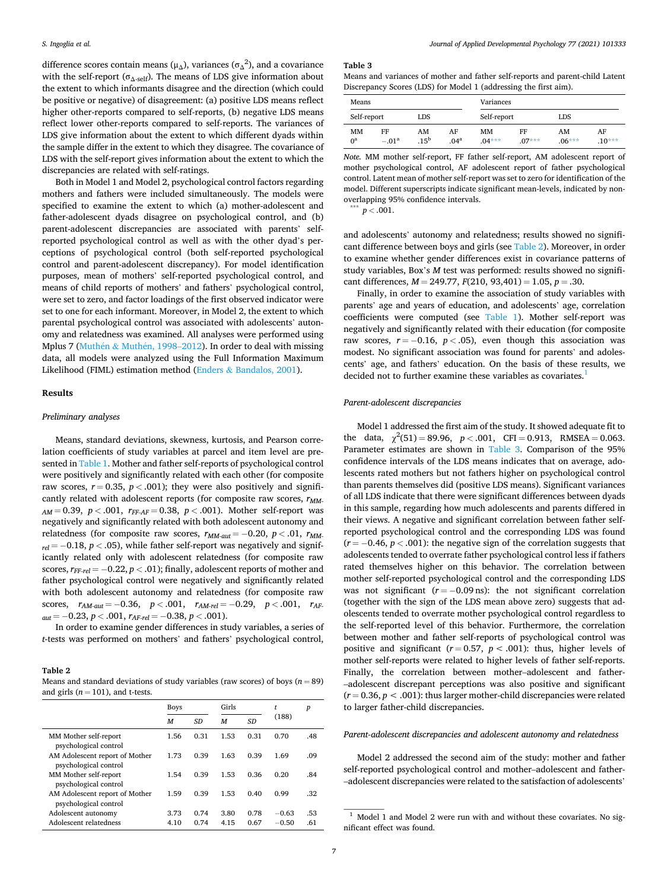difference scores contain means ( $\mu_{\Delta}$ ), variances ( $\sigma_{\Delta}^2$ ), and a covariance with the self-report ( $\sigma_{\Delta\text{-self}}$ ). The means of LDS give information about the extent to which informants disagree and the direction (which could be positive or negative) of disagreement: (a) positive LDS means reflect higher other-reports compared to self-reports, (b) negative LDS means reflect lower other-reports compared to self-reports. The variances of LDS give information about the extent to which different dyads within the sample differ in the extent to which they disagree. The covariance of LDS with the self-report gives information about the extent to which the discrepancies are related with self-ratings.

Both in Model 1 and Model 2, psychological control factors regarding mothers and fathers were included simultaneously. The models were specified to examine the extent to which (a) mother-adolescent and father-adolescent dyads disagree on psychological control, and (b) parent-adolescent discrepancies are associated with parents' selfreported psychological control as well as with the other dyad's perceptions of psychological control (both self-reported psychological control and parent-adolescent discrepancy). For model identification purposes, mean of mothers' self-reported psychological control, and means of child reports of mothers' and fathers' psychological control, were set to zero, and factor loadings of the first observed indicator were set to one for each informant. Moreover, in Model 2, the extent to which parental psychological control was associated with adolescents' autonomy and relatedness was examined. All analyses were performed using Mplus 7 (Muthén & Muthén, 1998–2012). In order to deal with missing data, all models were analyzed using the Full Information Maximum Likelihood (FIML) estimation method (Enders & [Bandalos, 2001\)](#page-11-0).

#### **Results**

#### *Preliminary analyses*

Means, standard deviations, skewness, kurtosis, and Pearson correlation coefficients of study variables at parcel and item level are presented in [Table 1](#page-5-0). Mother and father self-reports of psychological control were positively and significantly related with each other (for composite raw scores,  $r = 0.35$ ,  $p < .001$ ); they were also positively and significantly related with adolescent reports (for composite raw scores,  $r_{MM}$ . *AM* = 0.39, *p <* .001, *rFF-AF* = 0.38, *p <* .001). Mother self-report was negatively and significantly related with both adolescent autonomy and relatedness (for composite raw scores,  $r_{MM-aut} = -0.20$ ,  $p < .01$ ,  $r_{MM-}$  $r_{rel} = -0.18$ ,  $p < .05$ ), while father self-report was negatively and significantly related only with adolescent relatedness (for composite raw scores,  $r_{FF-rel} = -0.22$ ,  $p < .01$ ); finally, adolescent reports of mother and father psychological control were negatively and significantly related with both adolescent autonomy and relatedness (for composite raw scores,  $r_{AM-aut} = -0.36$ ,  $p < .001$ ,  $r_{AM-rel} = -0.29$ ,  $p < .001$ ,  $r_{AF}$ *aut* = − 0.23, *p <* .001, *rAF-rel* = − 0.38, *p <* .001).

In order to examine gender differences in study variables, a series of *t*-tests was performed on mothers' and fathers' psychological control,

## **Table 2**

Means and standard deviations of study variables (raw scores) of boys  $(n = 89)$ and girls  $(n = 101)$ , and t-tests.

|                                                         | <b>Boys</b>  |              | Girls        |              | t                  | $\boldsymbol{p}$ |
|---------------------------------------------------------|--------------|--------------|--------------|--------------|--------------------|------------------|
|                                                         | M            | SD           | M            | SD.          | (188)              |                  |
| MM Mother self-report<br>psychological control          | 1.56         | 0.31         | 1.53         | 0.31         | 0.70               | .48              |
| AM Adolescent report of Mother<br>psychological control | 1.73         | 0.39         | 1.63         | 0.39         | 1.69               | .09              |
| MM Mother self-report<br>psychological control          | 1.54         | 0.39         | 1.53         | 0.36         | 0.20               | .84              |
| AM Adolescent report of Mother<br>psychological control | 1.59         | 0.39         | 1.53         | 0.40         | 0.99               | .32              |
| Adolescent autonomy<br>Adolescent relatedness           | 3.73<br>4.10 | 0.74<br>0.74 | 3.80<br>4.15 | 0.78<br>0.67 | $-0.63$<br>$-0.50$ | .53<br>.61       |
|                                                         |              |              |              |              |                    |                  |

#### **Table 3**

Means and variances of mother and father self-reports and parent-child Latent Discrepancy Scores (LDS) for Model 1 (addressing the first aim).

| Means             |               |                        |                        | Variances      |                |                |                |  |  |  |
|-------------------|---------------|------------------------|------------------------|----------------|----------------|----------------|----------------|--|--|--|
| Self-report       |               | LDS                    |                        | Self-report    |                | LDS            |                |  |  |  |
| MM<br>$0^{\rm a}$ | FF<br>$-.01a$ | AM<br>.15 <sup>b</sup> | AF<br>.04 <sup>a</sup> | MМ<br>$.04***$ | FF<br>$.07***$ | AM<br>$.06***$ | AF<br>$.10***$ |  |  |  |

*Note.* MM mother self-report, FF father self-report, AM adolescent report of mother psychological control, AF adolescent report of father psychological control. Latent mean of mother self-report was set to zero for identification of the model. Different superscripts indicate significant mean-levels, indicated by nonoverlapping 95% confidence intervals. \*\*\* *<sup>p</sup><sup>&</sup>lt;* .001.

and adolescents' autonomy and relatedness; results showed no significant difference between boys and girls (see Table 2). Moreover, in order to examine whether gender differences exist in covariance patterns of study variables, Box's *M* test was performed: results showed no significant differences, *M* = 249.77, *F*(210, 93,401) = 1.05, *p* = .30.

Finally, in order to examine the association of study variables with parents' age and years of education, and adolescents' age, correlation coefficients were computed (see [Table 1\)](#page-5-0). Mother self-report was negatively and significantly related with their education (for composite raw scores,  $r = -0.16$ ,  $p < .05$ ), even though this association was modest. No significant association was found for parents' and adolescents' age, and fathers' education. On the basis of these results, we decided not to further examine these variables as covariates.<sup>1</sup>

## *Parent-adolescent discrepancies*

Model 1 addressed the first aim of the study. It showed adequate fit to the data,  $\chi^2(51) = 89.96$ ,  $p < .001$ , CFI = 0.913, RMSEA = 0.063. Parameter estimates are shown in Table 3. Comparison of the 95% confidence intervals of the LDS means indicates that on average, adolescents rated mothers but not fathers higher on psychological control than parents themselves did (positive LDS means). Significant variances of all LDS indicate that there were significant differences between dyads in this sample, regarding how much adolescents and parents differed in their views. A negative and significant correlation between father selfreported psychological control and the corresponding LDS was found  $(r = -0.46, p < .001)$ : the negative sign of the correlation suggests that adolescents tended to overrate father psychological control less if fathers rated themselves higher on this behavior. The correlation between mother self-reported psychological control and the corresponding LDS was not significant  $(r = -0.09 \text{ ns})$ : the not significant correlation (together with the sign of the LDS mean above zero) suggests that adolescents tended to overrate mother psychological control regardless to the self-reported level of this behavior. Furthermore, the correlation between mother and father self-reports of psychological control was positive and significant  $(r = 0.57, p < .001)$ : thus, higher levels of mother self-reports were related to higher levels of father self-reports. Finally, the correlation between mother–adolescent and father-–adolescent discrepant perceptions was also positive and significant  $(r = 0.36, p < .001)$ : thus larger mother-child discrepancies were related to larger father-child discrepancies.

#### *Parent-adolescent discrepancies and adolescent autonomy and relatedness*

Model 2 addressed the second aim of the study: mother and father self-reported psychological control and mother–adolescent and father-–adolescent discrepancies were related to the satisfaction of adolescents'

 $^{\rm 1}$  Model 1 and Model 2 were run with and without these covariates. No significant effect was found.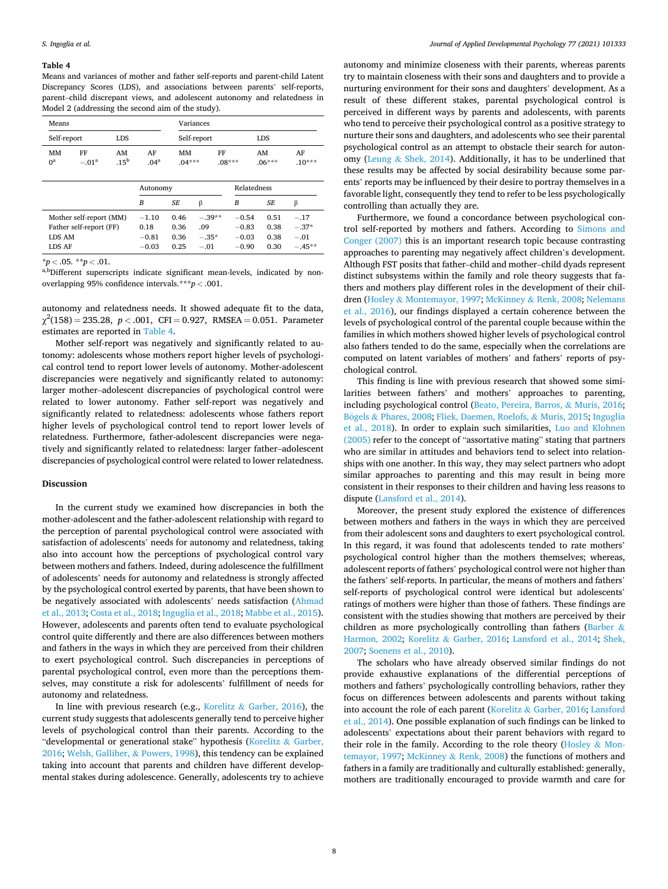#### **Table 4**

Means and variances of mother and father self-reports and parent-child Latent Discrepancy Scores (LDS), and associations between parents' self-reports, parent–child discrepant views, and adolescent autonomy and relatedness in Model 2 (addressing the second aim of the study).

| Means       |                                                    |            |                            |                      | Variances                  |                               |                      |                             |  |  |  |  |  |
|-------------|----------------------------------------------------|------------|----------------------------|----------------------|----------------------------|-------------------------------|----------------------|-----------------------------|--|--|--|--|--|
| Self-report |                                                    | <b>LDS</b> |                            |                      | Self-report                | <b>LDS</b>                    |                      |                             |  |  |  |  |  |
| MM<br>$0^a$ | FF<br>AM<br>.15 <sup>b</sup><br>$-.01a$            |            |                            | MM<br>$.04***$       | FF                         | $.08***$                      | AM<br>$.06***$       | AF<br>$.10***$              |  |  |  |  |  |
|             |                                                    |            | Autonomy                   |                      |                            | Relatedness                   |                      |                             |  |  |  |  |  |
|             |                                                    |            | B                          | <b>SE</b>            | β                          | В                             | <b>SE</b>            | β                           |  |  |  |  |  |
| LDS AM      | Mother self-report (MM)<br>Father self-report (FF) |            | $-1.10$<br>0.18<br>$-0.81$ | 0.46<br>0.36<br>0.36 | $-.39**$<br>.09<br>$-.35*$ | $-0.54$<br>$-0.83$<br>$-0.03$ | 0.51<br>0.38<br>0.38 | $-.17$<br>$-.37*$<br>$-.01$ |  |  |  |  |  |
| LDS AF      |                                                    |            | $-0.03$                    | 0.25                 | $-.01$                     | $-0.90$                       | 0.30                 | $-.45**$                    |  |  |  |  |  |

 $*p < .05$ .  $*p < .01$ .

a,bDifferent superscripts indicate significant mean-levels, indicated by nonoverlapping 95% confidence intervals.\*\*\**p <* .001.

autonomy and relatedness needs. It showed adequate fit to the data,  $\chi^2(158) = 235.28, p < .001, CFI = 0.927, RMSEA = 0.051. Parameter$ estimates are reported in Table 4.

Mother self-report was negatively and significantly related to autonomy: adolescents whose mothers report higher levels of psychological control tend to report lower levels of autonomy. Mother-adolescent discrepancies were negatively and significantly related to autonomy: larger mother–adolescent discrepancies of psychological control were related to lower autonomy. Father self-report was negatively and significantly related to relatedness: adolescents whose fathers report higher levels of psychological control tend to report lower levels of relatedness. Furthermore, father-adolescent discrepancies were negatively and significantly related to relatedness: larger father–adolescent discrepancies of psychological control were related to lower relatedness.

## **Discussion**

In the current study we examined how discrepancies in both the mother-adolescent and the father-adolescent relationship with regard to the perception of parental psychological control were associated with satisfaction of adolescents' needs for autonomy and relatedness, taking also into account how the perceptions of psychological control vary between mothers and fathers. Indeed, during adolescence the fulfillment of adolescents' needs for autonomy and relatedness is strongly affected by the psychological control exerted by parents, that have been shown to be negatively associated with adolescents' needs satisfaction [\(Ahmad](#page-10-0)  [et al., 2013; Costa et al., 2018;](#page-10-0) [Inguglia et al., 2018; Mabbe et al., 2015](#page-11-0)). However, adolescents and parents often tend to evaluate psychological control quite differently and there are also differences between mothers and fathers in the ways in which they are perceived from their children to exert psychological control. Such discrepancies in perceptions of parental psychological control, even more than the perceptions themselves, may constitute a risk for adolescents' fulfillment of needs for autonomy and relatedness.

In line with previous research (e.g., Korelitz  $\&$  [Garber, 2016](#page-11-0)), the current study suggests that adolescents generally tend to perceive higher levels of psychological control than their parents. According to the "developmental or generational stake" hypothesis [\(Korelitz](#page-11-0) & Garber, [2016;](#page-11-0) [Welsh, Galliher,](#page-12-0) & Powers, 1998), this tendency can be explained taking into account that parents and children have different developmental stakes during adolescence. Generally, adolescents try to achieve

autonomy and minimize closeness with their parents, whereas parents try to maintain closeness with their sons and daughters and to provide a nurturing environment for their sons and daughters' development. As a result of these different stakes, parental psychological control is perceived in different ways by parents and adolescents, with parents who tend to perceive their psychological control as a positive strategy to nurture their sons and daughters, and adolescents who see their parental psychological control as an attempt to obstacle their search for autonomy (Leung & [Shek, 2014](#page-11-0)). Additionally, it has to be underlined that these results may be affected by social desirability because some parents' reports may be influenced by their desire to portray themselves in a favorable light, consequently they tend to refer to be less psychologically controlling than actually they are.

Furthermore, we found a concordance between psychological control self-reported by mothers and fathers. According to [Simons and](#page-12-0)  [Conger \(2007\)](#page-12-0) this is an important research topic because contrasting approaches to parenting may negatively affect children's development. Although FST posits that father–child and mother–child dyads represent distinct subsystems within the family and role theory suggests that fathers and mothers play different roles in the development of their children (Hosley & [Montemayor, 1997](#page-11-0); McKinney & [Renk, 2008; Nelemans](#page-11-0)  [et al., 2016](#page-11-0)), our findings displayed a certain coherence between the levels of psychological control of the parental couple because within the families in which mothers showed higher levels of psychological control also fathers tended to do the same, especially when the correlations are computed on latent variables of mothers' and fathers' reports of psychological control.

This finding is line with previous research that showed some similarities between fathers' and mothers' approaches to parenting, including psychological control ([Beato, Pereira, Barros,](#page-10-0) & Muris, 2016; Bögels & [Phares, 2008](#page-10-0); [Fliek, Daemen, Roelofs,](#page-11-0) & Muris, 2015; Inguglia [et al., 2018](#page-11-0)). In order to explain such similarities, [Luo and Klohnen](#page-11-0)  [\(2005\)](#page-11-0) refer to the concept of "assortative mating" stating that partners who are similar in attitudes and behaviors tend to select into relationships with one another. In this way, they may select partners who adopt similar approaches to parenting and this may result in being more consistent in their responses to their children and having less reasons to dispute ([Lansford et al., 2014\)](#page-11-0).

Moreover, the present study explored the existence of differences between mothers and fathers in the ways in which they are perceived from their adolescent sons and daughters to exert psychological control. In this regard, it was found that adolescents tended to rate mothers' psychological control higher than the mothers themselves; whereas, adolescent reports of fathers' psychological control were not higher than the fathers' self-reports. In particular, the means of mothers and fathers' self-reports of psychological control were identical but adolescents' ratings of mothers were higher than those of fathers. These findings are consistent with the studies showing that mothers are perceived by their children as more psychologically controlling than fathers [\(Barber](#page-10-0)  $\&$ [Harmon, 2002;](#page-10-0) Korelitz & [Garber, 2016;](#page-11-0) [Lansford et al., 2014](#page-11-0); [Shek,](#page-12-0)  [2007; Soenens et al., 2010](#page-12-0)).

The scholars who have already observed similar findings do not provide exhaustive explanations of the differential perceptions of mothers and fathers' psychologically controlling behaviors, rather they focus on differences between adolescents and parents without taking into account the role of each parent (Korelitz & [Garber, 2016; Lansford](#page-11-0)  [et al., 2014](#page-11-0)). One possible explanation of such findings can be linked to adolescents' expectations about their parent behaviors with regard to their role in the family. According to the role theory [\(Hosley](#page-11-0) & Mon[temayor, 1997](#page-11-0); McKinney & [Renk, 2008](#page-11-0)) the functions of mothers and fathers in a family are traditionally and culturally established: generally, mothers are traditionally encouraged to provide warmth and care for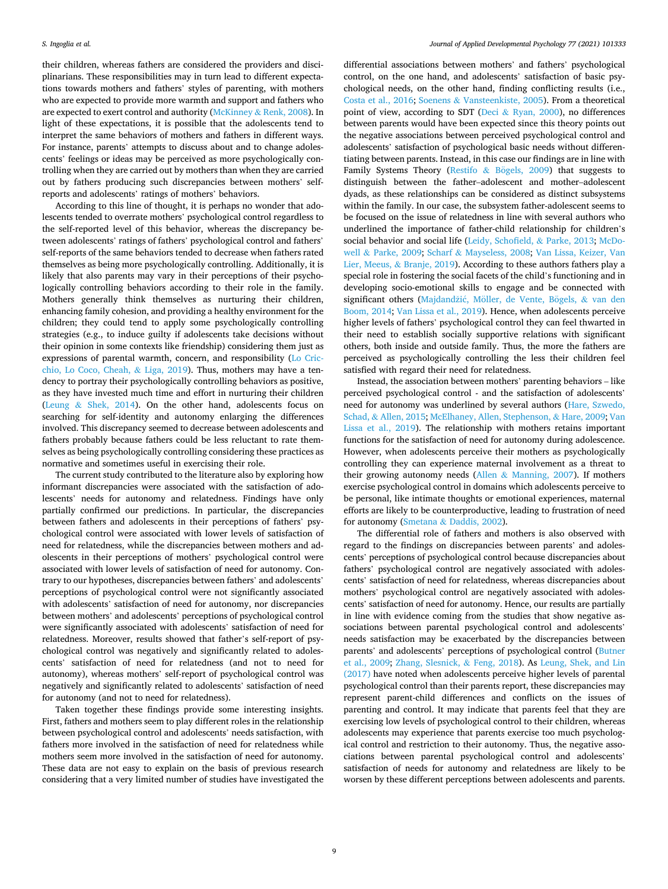their children, whereas fathers are considered the providers and disciplinarians. These responsibilities may in turn lead to different expectations towards mothers and fathers' styles of parenting, with mothers who are expected to provide more warmth and support and fathers who are expected to exert control and authority (McKinney & [Renk, 2008\)](#page-11-0). In light of these expectations, it is possible that the adolescents tend to interpret the same behaviors of mothers and fathers in different ways. For instance, parents' attempts to discuss about and to change adolescents' feelings or ideas may be perceived as more psychologically controlling when they are carried out by mothers than when they are carried out by fathers producing such discrepancies between mothers' selfreports and adolescents' ratings of mothers' behaviors.

According to this line of thought, it is perhaps no wonder that adolescents tended to overrate mothers' psychological control regardless to the self-reported level of this behavior, whereas the discrepancy between adolescents' ratings of fathers' psychological control and fathers' self-reports of the same behaviors tended to decrease when fathers rated themselves as being more psychologically controlling. Additionally, it is likely that also parents may vary in their perceptions of their psychologically controlling behaviors according to their role in the family. Mothers generally think themselves as nurturing their children, enhancing family cohesion, and providing a healthy environment for the children; they could tend to apply some psychologically controlling strategies (e.g., to induce guilty if adolescents take decisions without their opinion in some contexts like friendship) considering them just as expressions of parental warmth, concern, and responsibility [\(Lo Cric](#page-11-0)[chio, Lo Coco, Cheah,](#page-11-0) & Liga, 2019). Thus, mothers may have a tendency to portray their psychologically controlling behaviors as positive, as they have invested much time and effort in nurturing their children (Leung & [Shek, 2014](#page-11-0)). On the other hand, adolescents focus on searching for self-identity and autonomy enlarging the differences involved. This discrepancy seemed to decrease between adolescents and fathers probably because fathers could be less reluctant to rate themselves as being psychologically controlling considering these practices as normative and sometimes useful in exercising their role.

The current study contributed to the literature also by exploring how informant discrepancies were associated with the satisfaction of adolescents' needs for autonomy and relatedness. Findings have only partially confirmed our predictions. In particular, the discrepancies between fathers and adolescents in their perceptions of fathers' psychological control were associated with lower levels of satisfaction of need for relatedness, while the discrepancies between mothers and adolescents in their perceptions of mothers' psychological control were associated with lower levels of satisfaction of need for autonomy. Contrary to our hypotheses, discrepancies between fathers' and adolescents' perceptions of psychological control were not significantly associated with adolescents' satisfaction of need for autonomy, nor discrepancies between mothers' and adolescents' perceptions of psychological control were significantly associated with adolescents' satisfaction of need for relatedness. Moreover, results showed that father's self-report of psychological control was negatively and significantly related to adolescents' satisfaction of need for relatedness (and not to need for autonomy), whereas mothers' self-report of psychological control was negatively and significantly related to adolescents' satisfaction of need for autonomy (and not to need for relatedness).

Taken together these findings provide some interesting insights. First, fathers and mothers seem to play different roles in the relationship between psychological control and adolescents' needs satisfaction, with fathers more involved in the satisfaction of need for relatedness while mothers seem more involved in the satisfaction of need for autonomy. These data are not easy to explain on the basis of previous research considering that a very limited number of studies have investigated the

differential associations between mothers' and fathers' psychological control, on the one hand, and adolescents' satisfaction of basic psychological needs, on the other hand, finding conflicting results (i.e., [Costa et al., 2016;](#page-10-0) Soenens & [Vansteenkiste, 2005](#page-12-0)). From a theoretical point of view, according to SDT (Deci & [Ryan, 2000\)](#page-10-0), no differences between parents would have been expected since this theory points out the negative associations between perceived psychological control and adolescents' satisfaction of psychological basic needs without differentiating between parents. Instead, in this case our findings are in line with Family Systems Theory (Restifo  $\&$  Bögels, 2009) that suggests to distinguish between the father–adolescent and mother–adolescent dyads, as these relationships can be considered as distinct subsystems within the family. In our case, the subsystem father-adolescent seems to be focused on the issue of relatedness in line with several authors who underlined the importance of father-child relationship for children's social behavior and social life [\(Leidy, Schofield,](#page-11-0) & Parke, 2013; [McDo](#page-11-0)well & [Parke, 2009](#page-11-0); Scharf & [Mayseless, 2008;](#page-12-0) [Van Lissa, Keizer, Van](#page-12-0)  [Lier, Meeus,](#page-12-0) & Branje, 2019). According to these authors fathers play a special role in fostering the social facets of the child's functioning and in developing socio-emotional skills to engage and be connected with significant others (Majdandžić, Möller, de Vente, Bögels, & van den [Boom, 2014](#page-11-0); [Van Lissa et al., 2019\)](#page-12-0). Hence, when adolescents perceive higher levels of fathers' psychological control they can feel thwarted in their need to establish socially supportive relations with significant others, both inside and outside family. Thus, the more the fathers are perceived as psychologically controlling the less their children feel satisfied with regard their need for relatedness.

Instead, the association between mothers' parenting behaviors – like perceived psychological control - and the satisfaction of adolescents' need for autonomy was underlined by several authors [\(Hare, Szwedo,](#page-11-0)  Schad, & [Allen, 2015; McElhaney, Allen, Stephenson,](#page-11-0) & Hare, 2009; [Van](#page-12-0)  [Lissa et al., 2019\)](#page-12-0). The relationship with mothers retains important functions for the satisfaction of need for autonomy during adolescence. However, when adolescents perceive their mothers as psychologically controlling they can experience maternal involvement as a threat to their growing autonomy needs (Allen & [Manning, 2007\)](#page-10-0). If mothers exercise psychological control in domains which adolescents perceive to be personal, like intimate thoughts or emotional experiences, maternal efforts are likely to be counterproductive, leading to frustration of need for autonomy (Smetana & [Daddis, 2002\)](#page-12-0).

The differential role of fathers and mothers is also observed with regard to the findings on discrepancies between parents' and adolescents' perceptions of psychological control because discrepancies about fathers' psychological control are negatively associated with adolescents' satisfaction of need for relatedness, whereas discrepancies about mothers' psychological control are negatively associated with adolescents' satisfaction of need for autonomy. Hence, our results are partially in line with evidence coming from the studies that show negative associations between parental psychological control and adolescents' needs satisfaction may be exacerbated by the discrepancies between parents' and adolescents' perceptions of psychological control [\(Butner](#page-10-0)  [et al., 2009;](#page-10-0) [Zhang, Slesnick,](#page-12-0) & Feng, 2018). As [Leung, Shek, and Lin](#page-11-0)  [\(2017\)](#page-11-0) have noted when adolescents perceive higher levels of parental psychological control than their parents report, these discrepancies may represent parent-child differences and conflicts on the issues of parenting and control. It may indicate that parents feel that they are exercising low levels of psychological control to their children, whereas adolescents may experience that parents exercise too much psychological control and restriction to their autonomy. Thus, the negative associations between parental psychological control and adolescents' satisfaction of needs for autonomy and relatedness are likely to be worsen by these different perceptions between adolescents and parents.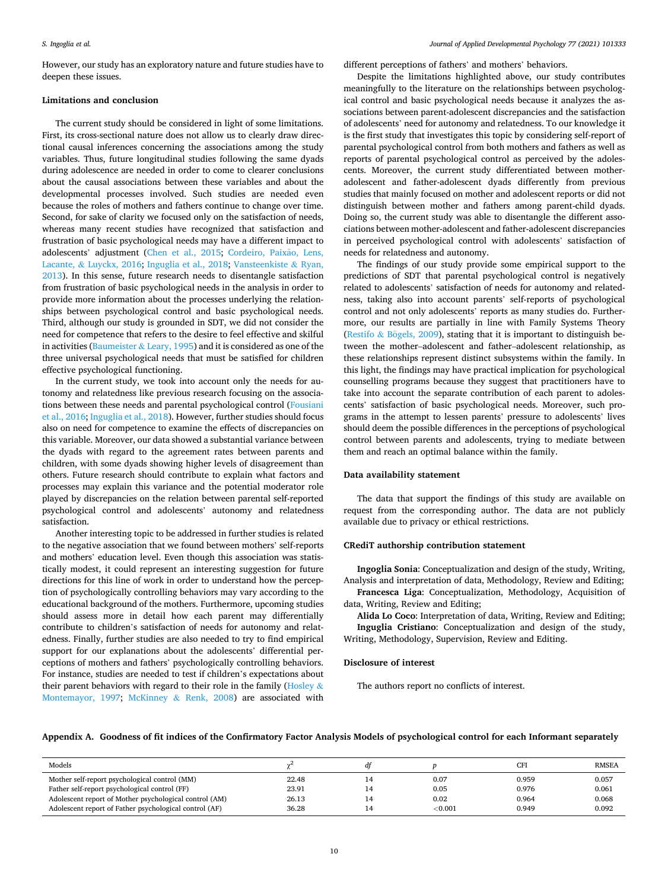#### <span id="page-9-0"></span>*S. Ingoglia et al.*

However, our study has an exploratory nature and future studies have to deepen these issues.

## **Limitations and conclusion**

The current study should be considered in light of some limitations. First, its cross-sectional nature does not allow us to clearly draw directional causal inferences concerning the associations among the study variables. Thus, future longitudinal studies following the same dyads during adolescence are needed in order to come to clearer conclusions about the causal associations between these variables and about the developmental processes involved. Such studies are needed even because the roles of mothers and fathers continue to change over time. Second, for sake of clarity we focused only on the satisfaction of needs, whereas many recent studies have recognized that satisfaction and frustration of basic psychological needs may have a different impact to adolescents' adjustment [\(Chen et al., 2015](#page-10-0); Cordeiro, Paixão, Lens, Lacante, & [Luyckx, 2016](#page-10-0); [Inguglia et al., 2018;](#page-11-0) [Vansteenkiste](#page-12-0) & Ryan, [2013\)](#page-12-0). In this sense, future research needs to disentangle satisfaction from frustration of basic psychological needs in the analysis in order to provide more information about the processes underlying the relationships between psychological control and basic psychological needs. Third, although our study is grounded in SDT, we did not consider the need for competence that refers to the desire to feel effective and skilful in activities (Baumeister  $\&$  [Leary, 1995\)](#page-10-0) and it is considered as one of the three universal psychological needs that must be satisfied for children effective psychological functioning.

In the current study, we took into account only the needs for autonomy and relatedness like previous research focusing on the associations between these needs and parental psychological control ([Fousiani](#page-11-0)  [et al., 2016; Inguglia et al., 2018](#page-11-0)). However, further studies should focus also on need for competence to examine the effects of discrepancies on this variable. Moreover, our data showed a substantial variance between the dyads with regard to the agreement rates between parents and children, with some dyads showing higher levels of disagreement than others. Future research should contribute to explain what factors and processes may explain this variance and the potential moderator role played by discrepancies on the relation between parental self-reported psychological control and adolescents' autonomy and relatedness satisfaction.

Another interesting topic to be addressed in further studies is related to the negative association that we found between mothers' self-reports and mothers' education level. Even though this association was statistically modest, it could represent an interesting suggestion for future directions for this line of work in order to understand how the perception of psychologically controlling behaviors may vary according to the educational background of the mothers. Furthermore, upcoming studies should assess more in detail how each parent may differentially contribute to children's satisfaction of needs for autonomy and relatedness. Finally, further studies are also needed to try to find empirical support for our explanations about the adolescents' differential perceptions of mothers and fathers' psychologically controlling behaviors. For instance, studies are needed to test if children's expectations about their parent behaviors with regard to their role in the family [\(Hosley](#page-11-0)  $\&$ [Montemayor, 1997](#page-11-0); McKinney & [Renk, 2008](#page-11-0)) are associated with different perceptions of fathers' and mothers' behaviors.

Despite the limitations highlighted above, our study contributes meaningfully to the literature on the relationships between psychological control and basic psychological needs because it analyzes the associations between parent-adolescent discrepancies and the satisfaction of adolescents' need for autonomy and relatedness. To our knowledge it is the first study that investigates this topic by considering self-report of parental psychological control from both mothers and fathers as well as reports of parental psychological control as perceived by the adolescents. Moreover, the current study differentiated between motheradolescent and father-adolescent dyads differently from previous studies that mainly focused on mother and adolescent reports or did not distinguish between mother and fathers among parent-child dyads. Doing so, the current study was able to disentangle the different associations between mother-adolescent and father-adolescent discrepancies in perceived psychological control with adolescents' satisfaction of needs for relatedness and autonomy.

The findings of our study provide some empirical support to the predictions of SDT that parental psychological control is negatively related to adolescents' satisfaction of needs for autonomy and relatedness, taking also into account parents' self-reports of psychological control and not only adolescents' reports as many studies do. Furthermore, our results are partially in line with Family Systems Theory (Restifo  $&$  Bögels, 2009), stating that it is important to distinguish between the mother–adolescent and father–adolescent relationship, as these relationships represent distinct subsystems within the family. In this light, the findings may have practical implication for psychological counselling programs because they suggest that practitioners have to take into account the separate contribution of each parent to adolescents' satisfaction of basic psychological needs. Moreover, such programs in the attempt to lessen parents' pressure to adolescents' lives should deem the possible differences in the perceptions of psychological control between parents and adolescents, trying to mediate between them and reach an optimal balance within the family.

#### **Data availability statement**

The data that support the findings of this study are available on request from the corresponding author. The data are not publicly available due to privacy or ethical restrictions.

#### **CRediT authorship contribution statement**

**Ingoglia Sonia**: Conceptualization and design of the study, Writing, Analysis and interpretation of data, Methodology, Review and Editing;

**Francesca Liga**: Conceptualization, Methodology, Acquisition of data, Writing, Review and Editing;

**Alida Lo Coco**: Interpretation of data, Writing, Review and Editing; **Inguglia Cristiano**: Conceptualization and design of the study, Writing, Methodology, Supervision, Review and Editing.

#### **Disclosure of interest**

The authors report no conflicts of interest.

# **Appendix A. Goodness of fit indices of the Confirmatory Factor Analysis Models of psychological control for each Informant separately**

| Models                                                 |       | dt |         | CFI   | <b>RMSEA</b> |
|--------------------------------------------------------|-------|----|---------|-------|--------------|
| Mother self-report psychological control (MM)          | 22.48 | 14 | 0.07    | 0.959 | 0.057        |
| Father self-report psychological control (FF)          | 23.91 | 14 | 0.05    | 0.976 | 0.061        |
| Adolescent report of Mother psychological control (AM) | 26.13 | 14 | 0.02    | 0.964 | 0.068        |
| Adolescent report of Father psychological control (AF) | 36.28 | 14 | < 0.001 | 0.949 | 0.092        |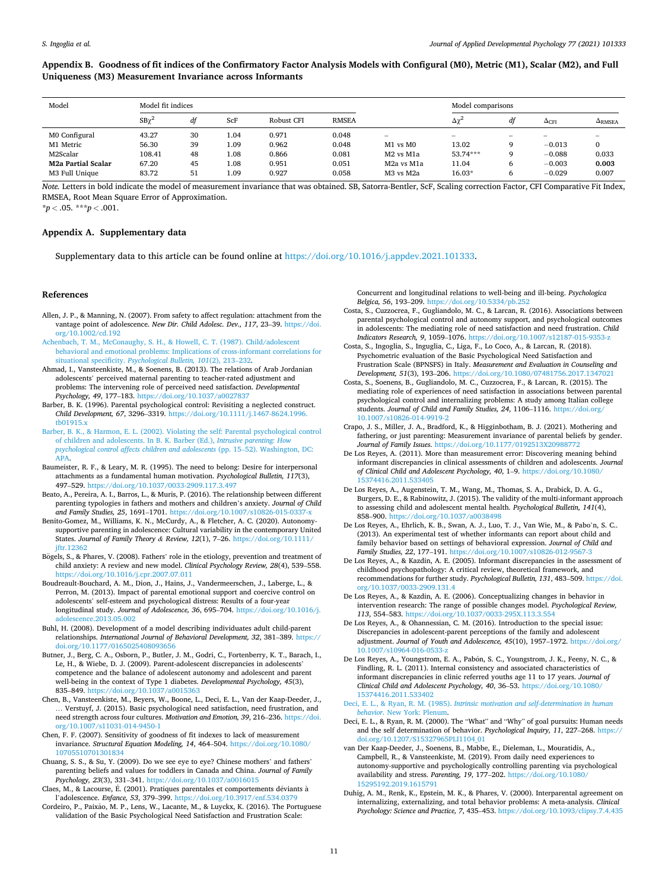# <span id="page-10-0"></span>**Appendix B. Goodness of fit indices of the Confirmatory Factor Analysis Models with Configural (M0), Metric (M1), Scalar (M2), and Full Uniqueness (M3) Measurement Invariance across Informants**

| Model                     | Model fit indices |    |          |            |              |                   | Model comparisons |                   |              |                           |  |  |
|---------------------------|-------------------|----|----------|------------|--------------|-------------------|-------------------|-------------------|--------------|---------------------------|--|--|
|                           | $SB\gamma^2$      | df | ScF      | Robust CFI | <b>RMSEA</b> |                   | $\Delta\gamma^2$  | df                | $\Delta$ CFI | $\Delta$ <sub>RMSEA</sub> |  |  |
| M0 Configural             | 43.27             | 30 | 1.04     | 0.971      | 0.048        | $\hspace{0.05cm}$ | $\sim$            | $\hspace{0.05cm}$ | $\sim$       | $\overline{\phantom{a}}$  |  |  |
| M1 Metric                 | 56.30             | 39 | 1.09     | 0.962      | 0.048        | M1 vs M0          | 13.02             | 9                 | $-0.013$     | 0                         |  |  |
| M2Scalar                  | 108.41            | 48 | $1.08\,$ | 0.866      | 0.081        | M2 vs M1a         | 53.74***          | 9                 | $-0.088$     | 0.033                     |  |  |
| <b>M2a Partial Scalar</b> | 67.20             | 45 | 1.08     | 0.951      | 0.051        | M2a vs M1a        | 11.04             | 6                 | $-0.003$     | 0.003                     |  |  |
| M3 Full Unique            | 83.72             | 51 | 1.09     | 0.927      | 0.058        | M3 vs M2a         | $16.03*$          | 6                 | $-0.029$     | 0.007                     |  |  |

*Note.* Letters in bold indicate the model of measurement invariance that was obtained. SB, Satorra-Bentler, ScF, Scaling correction Factor, CFI Comparative Fit Index, RMSEA, Root Mean Square Error of Approximation.

 $**p* < .05.$   $***p* < .001.$ 

#### **Appendix A. Supplementary data**

Supplementary data to this article can be found online at<https://doi.org/10.1016/j.appdev.2021.101333>.

#### **References**

- Allen, J. P., & Manning, N. (2007). From safety to affect regulation: attachment from the vantage point of adolescence. *New Dir. Child Adolesc. Dev., 117*, 23–39. [https://doi.](https://doi.org/10.1002/cd.192)  [org/10.1002/cd.192](https://doi.org/10.1002/cd.192)
- [Achenbach, T. M., McConaughy, S. H., & Howell, C. T. \(1987\). Child/adolescent](http://refhub.elsevier.com/S0193-3973(21)00096-4/rf0005) [behavioral and emotional problems: Implications of cross-informant correlations for](http://refhub.elsevier.com/S0193-3973(21)00096-4/rf0005)  situational specificity. *[Psychological Bulletin, 101](http://refhub.elsevier.com/S0193-3973(21)00096-4/rf0005)*(2), 213–232.
- Ahmad, I., Vansteenkiste, M., & Soenens, B. (2013). The relations of Arab Jordanian adolescents' perceived maternal parenting to teacher-rated adjustment and problems: The intervening role of perceived need satisfaction. *Developmental Psychology, 49*, 177–183.<https://doi.org/10.1037/a0027837>
- Barber, B. K. (1996). Parental psychological control: Revisiting a neglected construct. *Child Development, 67*, 3296–3319. [https://doi.org/10.1111/j.1467-8624.1996.](https://doi.org/10.1111/j.1467-8624.1996.tb01915.x) [tb01915.x](https://doi.org/10.1111/j.1467-8624.1996.tb01915.x)
- [Barber, B. K., & Harmon, E. L. \(2002\). Violating the self: Parental psychological control](http://refhub.elsevier.com/S0193-3973(21)00096-4/rf0020)  [of children and adolescents. In B. K. Barber \(Ed.\),](http://refhub.elsevier.com/S0193-3973(21)00096-4/rf0020) *Intrusive parenting: How [psychological control affects children and adolescents](http://refhub.elsevier.com/S0193-3973(21)00096-4/rf0020)* (pp. 15–52). Washington, DC: [APA.](http://refhub.elsevier.com/S0193-3973(21)00096-4/rf0020)
- Baumeister, R. F., & Leary, M. R. (1995). The need to belong: Desire for interpersonal attachments as a fundamental human motivation. *Psychological Bulletin, 117*(3), 497–529. <https://doi.org/10.1037/0033-2909.117.3.497>
- Beato, A., Pereira, A. I., Barros, L., & Muris, P. (2016). The relationship between different parenting typologies in fathers and mothers and children's anxiety. *Journal of Child and Family Studies, 25*, 1691–1701.<https://doi.org/10.1007/s10826-015-0337-x>
- Benito-Gomez, M., Williams, K. N., McCurdy, A., & Fletcher, A. C. (2020). Autonomysupportive parenting in adolescence: Cultural variability in the contemporary United States. *Journal of Family Theory & Review, 12*(1), 7–26. [https://doi.org/10.1111/](https://doi.org/10.1111/jftr.12362)  [jftr.12362](https://doi.org/10.1111/jftr.12362)
- Bögels, S., & Phares, V. (2008). Fathers' role in the etiology, prevention and treatment of child anxiety: A review and new model. *Clinical Psychology Review, 28*(4), 539–558. <https://doi.org/10.1016/j.cpr.2007.07.011>
- Boudreault-Bouchard, A. M., Dion, J., Hains, J., Vandermeerschen, J., Laberge, L., & Perron, M. (2013). Impact of parental emotional support and coercive control on adolescents' self-esteem and psychological distress: Results of a four-year longitudinal study. *Journal of Adolescence, 36*, 695–704. [https://doi.org/10.1016/j.](https://doi.org/10.1016/j.adolescence.2013.05.002) olescence.2013.05.002
- Buhl, H. (2008). Development of a model describing individuates adult child-parent relationships. *International Journal of Behavioral Development, 32*, 381–389. [https://](https://doi.org/10.1177/0165025408093656) doi.org/10.1177/01650254080936
- Butner, J., Berg, C. A., Osborn, P., Butler, J. M., Godri, C., Fortenberry, K. T., Barach, I., Le, H., & Wiebe, D. J. (2009). Parent-adolescent discrepancies in adolescents' competence and the balance of adolescent autonomy and adolescent and parent well-being in the context of Type 1 diabetes. *Developmental Psychology, 45*(3), 835–849. <https://doi.org/10.1037/a0015363>
- Chen, B., Vansteenkiste, M., Beyers, W., Boone, L., Deci, E. L., Van der Kaap-Deeder, J., … Verstuyf, J. (2015). Basic psychological need satisfaction, need frustration, and need strength across four cultures. *Motivation and Emotion, 39*, 216–236. [https://doi.](https://doi.org/10.1007/s11031-014-9450-1)  [org/10.1007/s11031-014-9450-1](https://doi.org/10.1007/s11031-014-9450-1)
- Chen, F. F. (2007). Sensitivity of goodness of fit indexes to lack of measurement invariance. *Structural Equation Modeling, 14*, 464–504. [https://doi.org/10.1080/](https://doi.org/10.1080/10705510701301834) [10705510701301834](https://doi.org/10.1080/10705510701301834)
- Chuang, S. S., & Su, Y. (2009). Do we see eye to eye? Chinese mothers' and fathers' parenting beliefs and values for toddlers in Canada and China. *Journal of Family Psychology, 23*(3), 331–341. <https://doi.org/10.1037/a0016015>
- Claes, M., & Lacourse, É. (2001). Pratiques parentales et comportements déviants à l'adolescence. *Enfance, 53*, 379–399. <https://doi.org/10.3917/enf.534.0379>
- Cordeiro, P., Paixão, M. P., Lens, W., Lacante, M., & Luyckx, K. (2016). The Portuguese validation of the Basic Psychological Need Satisfaction and Frustration Scale:

Concurrent and longitudinal relations to well-being and ill-being. *Psychologica Belgica, 56, 193-209. https://doi.org/10.5334/pb.2* 

- Costa, S., Cuzzocrea, F., Gugliandolo, M. C., & Larcan, R. (2016). Associations between parental psychological control and autonomy support, and psychological outcomes in adolescents: The mediating role of need satisfaction and need frustration. *Child Indicators Research, 9*, 1059–1076. <https://doi.org/10.1007/s12187-015-9353-z>
- Costa, S., Ingoglia, S., Inguglia, C., Liga, F., Lo Coco, A., & Larcan, R. (2018). Psychometric evaluation of the Basic Psychological Need Satisfaction and Frustration Scale (BPNSFS) in Italy. *Measurement and Evaluation in Counseling and Development, 51*(3), 193-206. https://doi.org/10.1080/07481756.2017.134
- Costa, S., Soenens, B., Gugliandolo, M. C., Cuzzocrea, F., & Larcan, R. (2015). The mediating role of experiences of need satisfaction in associations between parental psychological control and internalizing problems: A study among Italian college students. *Journal of Child and Family Studies*, 24, 1106–1116. https://doi.org [10.1007/s10826-014-9919-2](https://doi.org/10.1007/s10826-014-9919-2)
- Crapo, J. S., Miller, J. A., Bradford, K., & Higginbotham, B. J. (2021). Mothering and fathering, or just parenting: Measurement invariance of parental beliefs by gender. *Journal of Family Issues*. <https://doi.org/10.1177/0192513X20988772>
- De Los Reyes, A. (2011). More than measurement error: Discovering meaning behind informant discrepancies in clinical assessments of children and adolescents. *Journal of Clinical Child and Adolescent Psychology, 40*, 1–9. [https://doi.org/10.1080/](https://doi.org/10.1080/15374416.2011.533405)  5374416.2011.53340
- De Los Reyes, A., Augenstein, T. M., Wang, M., Thomas, S. A., Drabick, D. A. G., Burgers, D. E., & Rabinowitz, J. (2015). The validity of the multi-informant approach to assessing child and adolescent mental health. *Psychological Bulletin, 141*(4), 858–900. <https://doi.org/10.1037/a0038498>
- De Los Reyes, A., Ehrlich, K. B., Swan, A. J., Luo, T. J., Van Wie, M., & Pabo'n, S. C.. (2013). An experimental test of whether informants can report about child and family behavior based on settings of behavioral expression. *Journal of Child and Family Studies, 22*, 177–191. <https://doi.org/10.1007/s10826-012-9567-3>
- De Los Reyes, A., & Kazdin, A. E. (2005). Informant discrepancies in the assessment of childhood psychopathology: A critical review, theoretical framework, and recommendations for further study. *Psychological Bulletin, 131*, 483–509. [https://doi.](https://doi.org/10.1037/0033-2909.131.4)  [org/10.1037/0033-2909.131.4](https://doi.org/10.1037/0033-2909.131.4)
- De Los Reyes, A., & Kazdin, A. E. (2006). Conceptualizing changes in behavior in intervention research: The range of possible changes model. *Psychological Review, 113*, 554–583. <https://doi.org/10.1037/0033-295X.113.3.554>
- De Los Reyes, A., & Ohannessian, C. M. (2016). Introduction to the special issue: Discrepancies in adolescent-parent perceptions of the family and adolescent adjustment. *Journal of Youth and Adolescence, 45*(10), 1957–1972. [https://doi.org/](https://doi.org/10.1007/s10964-016-0533-z) [10.1007/s10964-016-0533-z](https://doi.org/10.1007/s10964-016-0533-z)
- De Los Reyes, A., Youngstrom, E. A., Pabón, S. C., Youngstrom, J. K., Feeny, N. C., & Findling, R. L. (2011). Internal consistency and associated characteristics of informant discrepancies in clinic referred youths age 11 to 17 years. *Journal of Clinical Child and Adolescent Psychology, 40*, 36–53. [https://doi.org/10.1080/](https://doi.org/10.1080/15374416.2011.533402)  [15374416.2011.533402](https://doi.org/10.1080/15374416.2011.533402)

Deci, E. L., & Ryan, R. M. (1985). *[Intrinsic motivation and self-determination in human](http://refhub.elsevier.com/S0193-3973(21)00096-4/rf0140)  behavior*[. New York: Plenum.](http://refhub.elsevier.com/S0193-3973(21)00096-4/rf0140)

- Deci, E. L., & Ryan, R. M. (2000). The "What" and "Why" of goal pursuits: Human needs and the self determination of behavior. *Psychological Inquiry, 11*, 227–268. [https://](https://doi.org/10.1207/S15327965PLI1104_01) [doi.org/10.1207/S15327965PLI1104\\_01](https://doi.org/10.1207/S15327965PLI1104_01)
- van Der Kaap-Deeder, J., Soenens, B., Mabbe, E., Dieleman, L., Mouratidis, A., Campbell, R., & Vansteenkiste, M. (2019). From daily need experiences to autonomy-supportive and psychologically controlling parenting via psychological availability and stress. *Parenting, 19*, 177-202. https://doi.org/10.10 [15295192.2019.1615791](https://doi.org/10.1080/15295192.2019.1615791)
- Duhig, A. M., Renk, K., Epstein, M. K., & Phares, V. (2000). Interparental agreement on internalizing, externalizing, and total behavior problems: A meta-analysis. *Clinical Psychology: Science and Practice, 7*, 435–453.<https://doi.org/10.1093/clipsy.7.4.435>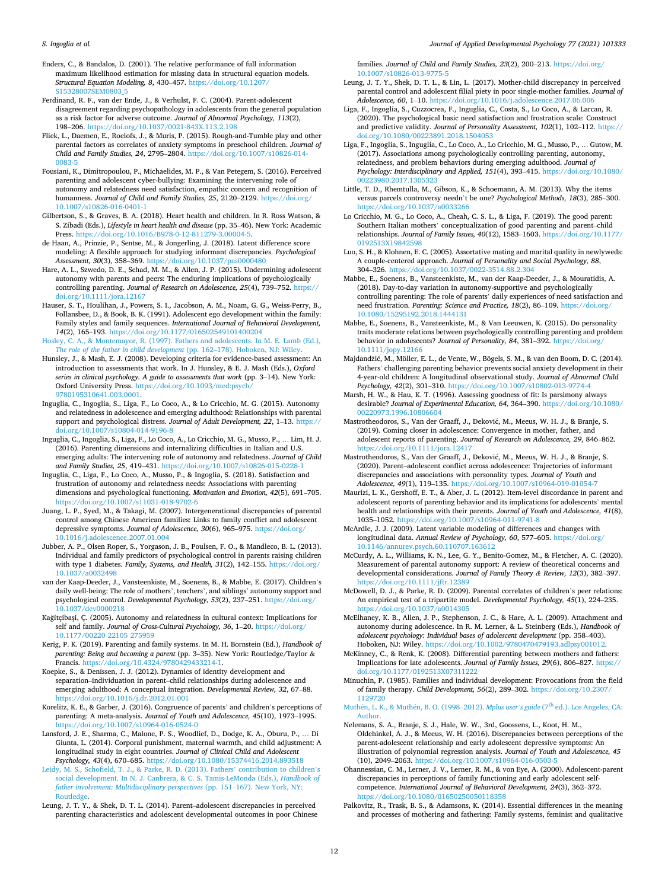<span id="page-11-0"></span>Enders, C., & Bandalos, D. (2001). The relative performance of full information maximum likelihood estimation for missing data in structural equation models. *Structural Equation Modeling, 8*, 430–457. [https://doi.org/10.1207/](https://doi.org/10.1207/S15328007SEM0803_5) [S15328007SEM0803\\_5](https://doi.org/10.1207/S15328007SEM0803_5)

- Ferdinand, R. F., van der Ende, J., & Verhulst, F. C. (2004). Parent-adolescent disagreement regarding psychopathology in adolescents from the general population as a risk factor for adverse outcome. *Journal of Abnormal Psychology, 113*(2), 198–206. <https://doi.org/10.1037/0021-843X.113.2.198>
- Fliek, L., Daemen, E., Roelofs, J., & Muris, P. (2015). Rough-and-Tumble play and other parental factors as correlates of anxiety symptoms in preschool children. *Journal of Child and Family Studies, 24*, 2795–2804. [https://doi.org/10.1007/s10826-014-](https://doi.org/10.1007/s10826-014-0083-5)
- [0083-5](https://doi.org/10.1007/s10826-014-0083-5)  Fousiani, K., Dimitropoulou, P., Michaelides, M. P., & Van Petegem, S. (2016). Perceived parenting and adolescent cyber-bullying: Examining the intervening role of autonomy and relatedness need satisfaction, empathic concern and recognition of humanness. *Journal of Child and Family Studies, 25*, 2120–2129. [https://doi.org/](https://doi.org/10.1007/s10826-016-0401-1) [10.1007/s10826-016-0401-1](https://doi.org/10.1007/s10826-016-0401-1)
- Gilbertson, S., & Graves, B. A. (2018). Heart health and children. In R. Ross Watson, & S. Zibadi (Eds.), *Lifestyle in heart health and disease* (pp. 35–46). New York: Academic Press. [https://doi.org/10.1016/B978-0-12-811279-3.00004-5.](https://doi.org/10.1016/B978-0-12-811279-3.00004-5)
- de Haan, A., Prinzie, P., Sentse, M., & Jongerling, J. (2018). Latent difference score modeling: A flexible approach for studying informant discrepancies. *Psychological Assessment, 30*(3), 358–369. <https://doi.org/10.1037/pas0000480>
- Hare, A. L., Szwedo, D. E., Schad, M. M., & Allen, J. P. (2015). Undermining adolescent autonomy with parents and peers: The enduring implications of psychologically controlling parenting. *Journal of Research on Adolescence, 25*(4), 739–752. [https://](https://doi.org/10.1111/jora.12167) [doi.org/10.1111/jora.12167](https://doi.org/10.1111/jora.12167)
- Hauser, S. T., Houlihan, J., Powers, S. I., Jacobson, A. M., Noam, G. G., Weiss-Perry, B., Follansbee, D., & Book, B. K. (1991). Adolescent ego development within the family: Family styles and family sequences. *International Journal of Behavioral Development, 14*(2), 165–193. <https://doi.org/10.1177/016502549101400204>

[Hosley, C. A., & Montemayor, R. \(1997\). Fathers and adolescents. In M. E. Lamb \(Ed.\),](http://refhub.elsevier.com/S0193-3973(21)00096-4/rf0200) *[The role of the father in child development](http://refhub.elsevier.com/S0193-3973(21)00096-4/rf0200) (pp. 162–178). Hoboken, NJ: Wiley.* 

- Hunsley, J., & Mash, E. J. (2008). Developing criteria for evidence-based assessment: An introduction to assessments that work. In J. Hunsley, & E. J. Mash (Eds.), *Oxford series in clinical psychology. A guide to assessments that work* (pp. 3–14). New York: Oxford University Press. [https://doi.org/10.1093/med:psych/](https://doi.org/10.1093/med:psych/9780195310641.003.0001)  [9780195310641.003.0001.](https://doi.org/10.1093/med:psych/9780195310641.003.0001)
- Inguglia, C., Ingoglia, S., Liga, F., Lo Coco, A., & Lo Cricchio, M. G. (2015). Autonomy and relatedness in adolescence and emerging adulthood: Relationships with parental support and psychological distress. *Journal of Adult Development, 22*, 1–13. [https://](https://doi.org/10.1007/s10804-014-9196-8) [doi.org/10.1007/s10804-014-9196-8](https://doi.org/10.1007/s10804-014-9196-8)
- Inguglia, C., Ingoglia, S., Liga, F., Lo Coco, A., Lo Cricchio, M. G., Musso, P., … Lim, H. J. (2016). Parenting dimensions and internalizing difficulties in Italian and U.S. emerging adults: The intervening role of autonomy and relatedness. *Journal of Child and Family Studies, 25*, 419–431.<https://doi.org/10.1007/s10826-015-0228-1>
- Inguglia, C., Liga, F., Lo Coco, A., Musso, P., & Ingoglia, S. (2018). Satisfaction and frustration of autonomy and relatedness needs: Associations with parenting dimensions and psychological functioning. *Motivation and Emotion, 42*(5), 691–705. <https://doi.org/10.1007/s11031-018-9702-6>
- Juang, L. P., Syed, M., & Takagi, M. (2007). Intergenerational discrepancies of parental control among Chinese American families: Links to family conflict and adolescent depressive symptoms. *Journal of Adolescence, 30*(6), 965–975. [https://doi.org/](https://doi.org/10.1016/j.adolescence.2007.01.004)  [10.1016/j.adolescence.2007.01.004](https://doi.org/10.1016/j.adolescence.2007.01.004)
- Jubber, A. P., Olsen Roper, S., Yorgason, J. B., Poulsen, F. O., & Mandleco, B. L. (2013). Individual and family predictors of psychological control in parents raising children with type 1 diabetes. *Family, Systems, and Health, 31*(2), 142–155. [https://doi.org/](https://doi.org/10.1037/a0032498)  [10.1037/a0032498](https://doi.org/10.1037/a0032498)
- van der Kaap-Deeder, J., Vansteenkiste, M., Soenens, B., & Mabbe, E. (2017). Children's daily well-being: The role of mothers', teachers', and siblings' autonomy support and psychological control. *Developmental Psychology, 53*(2), 237–251. [https://doi.org/](https://doi.org/10.1037/dev0000218)  [10.1037/dev0000218](https://doi.org/10.1037/dev0000218)
- Kağitçibaşi, Ç. (2005). Autonomy and relatedness in cultural context: Implications for self and family. *Journal of Cross-Cultural Psychology*, 36, 1-20. https://doi.org [10.1177/00220 22105 275959](https://doi.org/10.1177/00220 22105 275959)
- Kerig, P. K. (2019). Parenting and family systems. In M. H. Bornstein (Ed.), *Handbook of parenting: Being and becoming a parent* (pp. 3–35). New York: Routledge/Taylor & Francis. [https://doi.org/10.4324/9780429433214-1.](https://doi.org/10.4324/9780429433214-1)
- Koepke, S., & Denissen, J. J. (2012). Dynamics of identity development and separation–individuation in parent–child relationships during adolescence and emerging adulthood: A conceptual integration. *Developmental Review, 32*, 67–88. //doi.org/10.1016/j.dr.2012.01.001
- Korelitz, K. E., & Garber, J. (2016). Congruence of parents' and children's perceptions of parenting: A meta-analysis. *Journal of Youth and Adolescence, 45*(10), 1973–1995. <https://doi.org/10.1007/s10964-016-0524-0>
- Lansford, J. E., Sharma, C., Malone, P. S., Woodlief, D., Dodge, K. A., Oburu, P., … Di Giunta, L. (2014). Corporal punishment, maternal warmth, and child adjustment: A longitudinal study in eight countries. *Journal of Clinical Child and Adolescent Psychology, 43*(4), 670–685. <https://doi.org/10.1080/15374416.2014.893518>
- [Leidy, M. S., Schofield, T. J., & Parke, R. D. \(2013\). Fathers](http://refhub.elsevier.com/S0193-3973(21)00096-4/rf0265)' contribution to children's [social development. In N. J. Canbrera, & C. S. Tamis-LeMonda \(Eds.\),](http://refhub.elsevier.com/S0193-3973(21)00096-4/rf0265) *Handbook of [father involvement: Multidisciplinary perspectives](http://refhub.elsevier.com/S0193-3973(21)00096-4/rf0265)* (pp. 151–167). New York, NY: **[Routledge](http://refhub.elsevier.com/S0193-3973(21)00096-4/rf0265)**
- Leung, J. T. Y., & Shek, D. T. L. (2014). Parent–adolescent discrepancies in perceived parenting characteristics and adolescent developmental outcomes in poor Chinese

families. *Journal of Child and Family Studies, 23*(2), 200-213. [https://doi.org/](https://doi.org/10.1007/s10826-013-9775-5) 10.1007/s10826-013-977

- Leung, J. T. Y., Shek, D. T. L., & Lin, L. (2017). Mother-child discrepancy in perceived parental control and adolescent filial piety in poor single-mother families. *Journal of Adolescence, 60*, 1–10.<https://doi.org/10.1016/j.adolescence.2017.06.006>
- Liga, F., Ingoglia, S., Cuzzocrea, F., Inguglia, C., Costa, S., Lo Coco, A., & Larcan, R. (2020). The psychological basic need satisfaction and frustration scale: Construct and predictive validity. *Journal of Personality Assessment, 102*(1), 102–112. [https://](https://doi.org/10.1080/00223891.2018.1504053)  org/10.1080/00223891.2018.1504053
- Liga, F., Ingoglia, S., Inguglia, C., Lo Coco, A., Lo Cricchio, M. G., Musso, P., … Gutow, M. (2017). Associations among psychologically controlling parenting, autonomy, relatedness, and problem behaviors during emerging adulthood. *Journal of Psychology: Interdisciplinary and Applied, 151*(4), 393–415. [https://doi.org/10.1080/](https://doi.org/10.1080/00223980.2017.1305323)  [00223980.2017.1305323](https://doi.org/10.1080/00223980.2017.1305323)
- Little, T. D., Rhemtulla, M., Gibson, K., & Schoemann, A. M. (2013). Why the items versus parcels controversy needn't be one? *Psychological Methods, 18*(3), 285–300. <https://doi.org/10.1037/a0033266>
- Lo Cricchio, M. G., Lo Coco, A., Cheah, C. S. L., & Liga, F. (2019). The good parent: Southern Italian mothers' conceptualization of good parenting and parent–child relationships. *Journal of Family Issues, 40*(12), 1583–1603. [https://doi.org/10.1177/](https://doi.org/10.1177/0192513X19842598)  [0192513X19842598](https://doi.org/10.1177/0192513X19842598)
- Luo, S. H., & Klohnen, E. C. (2005). Assortative mating and marital quality in newlyweds: A couple-centered approach. *Journal of Personality and Social Psychology, 88*, 304–326. <https://doi.org/10.1037/0022-3514.88.2.304>
- Mabbe, E., Soenens, B., Vansteenkiste, M., van der Kaap-Deeder, J., & Mouratidis, A. (2018). Day-to-day variation in autonomy-supportive and psychologically controlling parenting: The role of parents' daily experiences of need satisfaction and need frustration. *Parenting: Science and Practice, 18*(2), 86–109. [https://doi.org/](https://doi.org/10.1080/15295192.2018.1444131)  [10.1080/15295192.2018.1444131](https://doi.org/10.1080/15295192.2018.1444131)
- Mabbe, E., Soenens, B., Vansteenkiste, M., & Van Leeuwen, K. (2015). Do personality traits moderate relations between psychologically controlling parenting and problem behavior in adolescents? *Journal of Personality*, 84, 381-392. https://doi.org [10.1111/jopy.12166](https://doi.org/10.1111/jopy.12166)
- Majdandžić, M., Möller, E. L., de Vente, W., Bögels, S. M., & van den Boom, D. C. (2014). Fathers' challenging parenting behavior prevents social anxiety development in their 4-year-old children: A longitudinal observational study. *Journal of Abnormal Child Psychology, 42*(2), 301–310. <https://doi.org/10.1007/s10802-013-9774-4>
- Marsh, H. W., & Hau, K. T. (1996). Assessing goodness of fit: Is parsimony always desirable? *Journal of Experimental Education, 64*, 364–390. [https://doi.org/10.1080/](https://doi.org/10.1080/00220973.1996.10806604)  [00220973.1996.10806604](https://doi.org/10.1080/00220973.1996.10806604)
- Mastrotheodoros, S., Van der Graaff, J., Deković, M., Meeus, W. H. J., & Branje, S. (2019). Coming closer in adolescence: Convergence in mother, father, and adolescent reports of parenting. *Journal of Research on Adolescence, 29*, 846–862. <https://doi.org/10.1111/jora.12417>
- Mastrotheodoros, S., Van der Graaff, J., Deković, M., Meeus, W. H. J., & Branje, S. (2020). Parent–adolescent conflict across adolescence: Trajectories of informant discrepancies and associations with personality types. *Journal of Youth and Adolescence, 49*(1), 119–135. <https://doi.org/10.1007/s10964-019-01054-7>
- Maurizi, L. K., Gershoff, E. T., & Aber, J. L. (2012). Item-level discordance in parent and adolescent reports of parenting behavior and its implications for adolescents' mental health and relationships with their parents. *Journal of Youth and Adolescence, 41*(8), 1035–1052.<https://doi.org/10.1007/s10964-011-9741-8>
- McArdle, J. J. (2009). Latent variable modeling of differences and changes with longitudinal data. *Annual Review of Psychology, 60*, 577–605. [https://doi.org/](https://doi.org/10.1146/annurev.psych.60.110707.163612) [10.1146/annurev.psych.60.110707.163612](https://doi.org/10.1146/annurev.psych.60.110707.163612)
- McCurdy, A. L., Williams, K. N., Lee, G. Y., Benito-Gomez, M., & Fletcher, A. C. (2020). Measurement of parental autonomy support: A review of theoretical concerns and developmental considerations. *Journal of Family Theory & Review, 12*(3), 382–397. <https://doi.org/10.1111/jftr.12389>
- McDowell, D. J., & Parke, R. D. (2009). Parental correlates of children's peer relations: An empirical test of a tripartite model. *Developmental Psychology, 45*(1), 224–235. <https://doi.org/10.1037/a0014305>
- McElhaney, K. B., Allen, J. P., Stephenson, J. C., & Hare, A. L. (2009). Attachment and autonomy during adolescence. In R. M. Lerner, & L. Steinberg (Eds.), *Handbook of adolescent psychology: Individual bases of adolescent development* (pp. 358–403). Hoboken, NJ: Wiley. [https://doi.org/10.1002/9780470479193.adlpsy001012.](https://doi.org/10.1002/9780470479193.adlpsy001012)
- McKinney, C., & Renk, K. (2008). Differential parenting between mothers and fathers: Implications for late adolescents. *Journal of Family Issues*, 29(6), 806-827. https: [doi.org/10.1177/0192513X07311222](https://doi.org/10.1177/0192513X07311222)
- Minuchin, P. (1985). Families and individual development: Provocations from the field of family therapy. *Child Development, 56*(2), 289–302. [https://doi.org/10.2307/](https://doi.org/10.2307/1129720)  [1129720](https://doi.org/10.2307/1129720)

Muthén, L. K., & Muthén, B. O. (1998–2012). *Mplus user's guide* (7<sup>th</sup> ed.). Los Angeles, CA: **[Author](http://refhub.elsevier.com/S0193-3973(21)00096-4/rf0370)** 

- Nelemans, S. A., Branje, S. J., Hale, W. W., 3rd, Goossens, L., Koot, H. M., Oldehinkel, A. J., & Meeus, W. H. (2016). Discrepancies between perceptions of the parent-adolescent relationship and early adolescent depressive symptoms: An illustration of polynomial regression analysis. *Journal of Youth and Adolescence, 45*  (10), 2049–2063. <https://doi.org/10.1007/s10964-016-0503-5>
- Ohannessian, C. M., Lerner, J. V., Lerner, R. M., & von Eye, A. (2000). Adolescent-parent discrepancies in perceptions of family functioning and early adolescent selfcompetence. *International Journal of Behavioral Development, 24*(3), 362–372. <https://doi.org/10.1080/01650250050118358>
- Palkovitz, R., Trask, B. S., & Adamsons, K. (2014). Essential differences in the meaning and processes of mothering and fathering: Family systems, feminist and qualitative